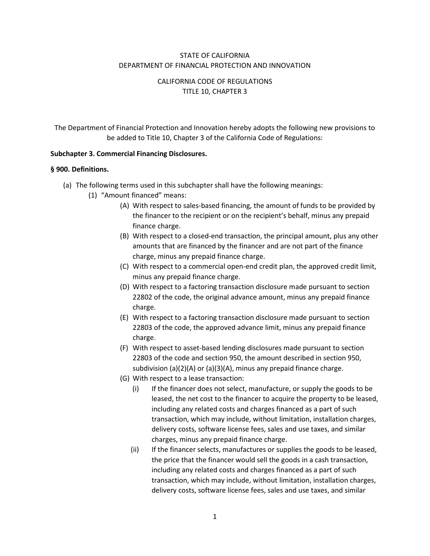### STATE OF CALIFORNIA DEPARTMENT OF FINANCIAL PROTECTION AND INNOVATION

# CALIFORNIA CODE OF REGULATIONS TITLE 10, CHAPTER 3

The Department of Financial Protection and Innovation hereby adopts the following new provisions to be added to Title 10, Chapter 3 of the California Code of Regulations:

#### **Subchapter 3. Commercial Financing Disclosures.**

#### **§ 900. Definitions.**

- (a) The following terms used in this subchapter shall have the following meanings:
	- (1) "Amount financed" means:
		- (A) With respect to sales-based financing, the amount of funds to be provided by the financer to the recipient or on the recipient's behalf, minus any prepaid finance charge.
		- (B) With respect to a closed-end transaction, the principal amount, plus any other amounts that are financed by the financer and are not part of the finance charge, minus any prepaid finance charge.
		- (C) With respect to a commercial open-end credit plan, the approved credit limit, minus any prepaid finance charge.
		- (D) With respect to a factoring transaction disclosure made pursuant to section 22802 of the code, the original advance amount, minus any prepaid finance charge.
		- (E) With respect to a factoring transaction disclosure made pursuant to section 22803 of the code, the approved advance limit, minus any prepaid finance charge.
		- (F) With respect to asset-based lending disclosures made pursuant to section 22803 of the code and section 950, the amount described in section 950, subdivision (a)(2)(A) or (a)(3)(A), minus any prepaid finance charge.
		- (G) With respect to a lease transaction:
			- (i) If the financer does not select, manufacture, or supply the goods to be leased, the net cost to the financer to acquire the property to be leased, including any related costs and charges financed as a part of such transaction, which may include, without limitation, installation charges, delivery costs, software license fees, sales and use taxes, and similar charges, minus any prepaid finance charge.
			- (ii) If the financer selects, manufactures or supplies the goods to be leased, the price that the financer would sell the goods in a cash transaction, including any related costs and charges financed as a part of such transaction, which may include, without limitation, installation charges, delivery costs, software license fees, sales and use taxes, and similar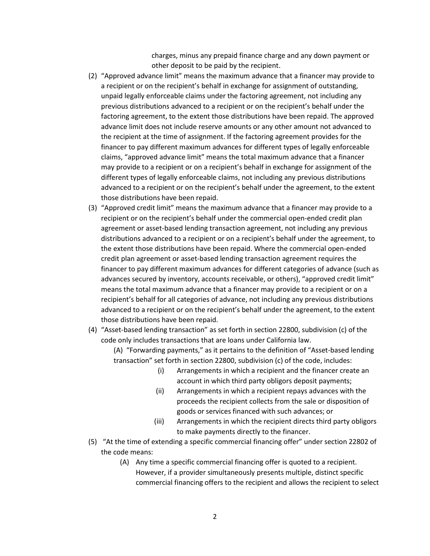charges, minus any prepaid finance charge and any down payment or other deposit to be paid by the recipient.

- (2) "Approved advance limit" means the maximum advance that a financer may provide to a recipient or on the recipient's behalf in exchange for assignment of outstanding, unpaid legally enforceable claims under the factoring agreement, not including any previous distributions advanced to a recipient or on the recipient's behalf under the factoring agreement, to the extent those distributions have been repaid. The approved advance limit does not include reserve amounts or any other amount not advanced to the recipient at the time of assignment. If the factoring agreement provides for the financer to pay different maximum advances for different types of legally enforceable claims, "approved advance limit" means the total maximum advance that a financer may provide to a recipient or on a recipient's behalf in exchange for assignment of the different types of legally enforceable claims, not including any previous distributions advanced to a recipient or on the recipient's behalf under the agreement, to the extent those distributions have been repaid.
- (3) "Approved credit limit" means the maximum advance that a financer may provide to a recipient or on the recipient's behalf under the commercial open-ended credit plan agreement or asset-based lending transaction agreement, not including any previous distributions advanced to a recipient or on a recipient's behalf under the agreement, to the extent those distributions have been repaid. Where the commercial open-ended credit plan agreement or asset-based lending transaction agreement requires the financer to pay different maximum advances for different categories of advance (such as advances secured by inventory, accounts receivable, or others), "approved credit limit" means the total maximum advance that a financer may provide to a recipient or on a recipient's behalf for all categories of advance, not including any previous distributions advanced to a recipient or on the recipient's behalf under the agreement, to the extent those distributions have been repaid.
- (4) "Asset-based lending transaction" as set forth in section 22800, subdivision (c) of the code only includes transactions that are loans under California law.

(A) "Forwarding payments," as it pertains to the definition of "Asset-based lending transaction" set forth in section 22800, subdivision (c) of the code, includes:

- (i) Arrangements in which a recipient and the financer create an account in which third party obligors deposit payments;
- (ii) Arrangements in which a recipient repays advances with the proceeds the recipient collects from the sale or disposition of goods or services financed with such advances; or
- (iii) Arrangements in which the recipient directs third party obligors to make payments directly to the financer.
- (5) "At the time of extending a specific commercial financing offer" under section 22802 of the code means:
	- (A) Any time a specific commercial financing offer is quoted to a recipient. However, if a provider simultaneously presents multiple, distinct specific commercial financing offers to the recipient and allows the recipient to select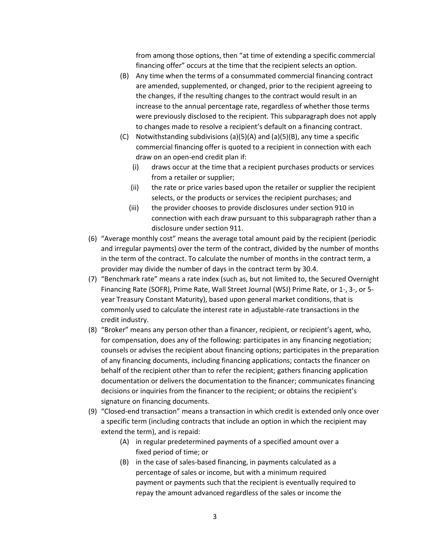from among those options, then "at time of extending a specific commercial financing offer" occurs at the time that the recipient selects an option.

- (B) Any time when the terms of a consummated commercial financing contract are amended, supplemented, or changed, prior to the recipient agreeing to the changes, if the resulting changes to the contract would result in an increase to the annual percentage rate, regardless of whether those terms were previously disclosed to the recipient. This subparagraph does not apply to changes made to resolve a recipient's default on a financing contract.
- (C) Notwithstanding subdivisions (a)(5)(A) and (a)(5)(B), any time a specific commercial financing offer is quoted to a recipient in connection with each draw on an open-end credit plan if:
	- (i) draws occur at the time that a recipient purchases products or services from a retailer or supplier;
	- (ii) the rate or price varies based upon the retailer or supplier the recipient selects, or the products or services the recipient purchases; and
	- (iii) the provider chooses to provide disclosures under section 910 in connection with each draw pursuant to this subparagraph rather than a disclosure under section 911.
- (6) "Average monthly cost" means the average total amount paid by the recipient (periodic and irregular payments) over the term of the contract, divided by the number of months in the term of the contract. To calculate the number of months in the contract term, a provider may divide the number of days in the contract term by 30.4.
- (7) "Benchmark rate" means a rate index (such as, but not limited to, the Secured Overnight Financing Rate (SOFR), Prime Rate, Wall Street Journal (WSJ) Prime Rate, or 1-, 3-, or 5 year Treasury Constant Maturity), based upon general market conditions, that is commonly used to calculate the interest rate in adjustable-rate transactions in the credit industry.
- (8) "Broker" means any person other than a financer, recipient, or recipient's agent, who, for compensation, does any of the following: participates in any financing negotiation; counsels or advises the recipient about financing options; participates in the preparation of any financing documents, including financing applications; contacts the financer on behalf of the recipient other than to refer the recipient; gathers financing application documentation or delivers the documentation to the financer; communicates financing decisions or inquiries from the financer to the recipient; or obtains the recipient's signature on financing documents.
- (9) "Closed-end transaction" means a transaction in which credit is extended only once over a specific term (including contracts that include an option in which the recipient may extend the term), and is repaid:
	- (A) in regular predetermined payments of a specified amount over a fixed period of time; or
	- (B) in the case of sales-based financing, in payments calculated as a percentage of sales or income, but with a minimum required payment or payments such that the recipient is eventually required to repay the amount advanced regardless of the sales or income the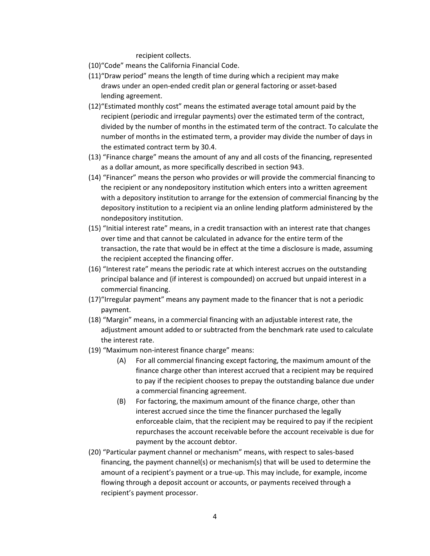recipient collects.

(10)"Code" means the California Financial Code.

- (11)"Draw period" means the length of time during which a recipient may make draws under an open-ended credit plan or general factoring or asset-based lending agreement.
- (12)"Estimated monthly cost" means the estimated average total amount paid by the recipient (periodic and irregular payments) over the estimated term of the contract, divided by the number of months in the estimated term of the contract. To calculate the number of months in the estimated term, a provider may divide the number of days in the estimated contract term by 30.4.
- (13) "Finance charge" means the amount of any and all costs of the financing, represented as a dollar amount, as more specifically described in section 943.
- (14) "Financer" means the person who provides or will provide the commercial financing to the recipient or any nondepository institution which enters into a written agreement with a depository institution to arrange for the extension of commercial financing by the depository institution to a recipient via an online lending platform administered by the nondepository institution.
- (15) "Initial interest rate" means, in a credit transaction with an interest rate that changes over time and that cannot be calculated in advance for the entire term of the transaction, the rate that would be in effect at the time a disclosure is made, assuming the recipient accepted the financing offer.
- (16) "Interest rate" means the periodic rate at which interest accrues on the outstanding principal balance and (if interest is compounded) on accrued but unpaid interest in a commercial financing.
- (17)"Irregular payment" means any payment made to the financer that is not a periodic payment.
- (18) "Margin" means, in a commercial financing with an adjustable interest rate, the adjustment amount added to or subtracted from the benchmark rate used to calculate the interest rate.
- (19) "Maximum non-interest finance charge" means:
	- (A) For all commercial financing except factoring, the maximum amount of the finance charge other than interest accrued that a recipient may be required to pay if the recipient chooses to prepay the outstanding balance due under a commercial financing agreement.
	- (B) For factoring, the maximum amount of the finance charge, other than interest accrued since the time the financer purchased the legally enforceable claim, that the recipient may be required to pay if the recipient repurchases the account receivable before the account receivable is due for payment by the account debtor.
- (20) "Particular payment channel or mechanism" means, with respect to sales-based financing, the payment channel(s) or mechanism(s) that will be used to determine the amount of a recipient's payment or a true-up. This may include, for example, income flowing through a deposit account or accounts, or payments received through a recipient's payment processor.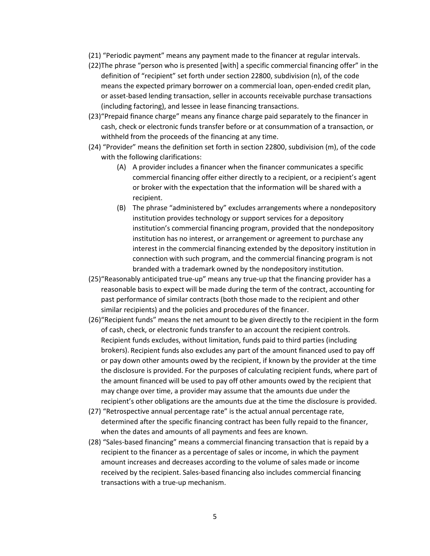- (21) "Periodic payment" means any payment made to the financer at regular intervals.
- (22)The phrase "person who is presented [with] a specific commercial financing offer" in the definition of "recipient" set forth under section 22800, subdivision (n), of the code means the expected primary borrower on a commercial loan, open-ended credit plan, or asset-based lending transaction, seller in accounts receivable purchase transactions (including factoring), and lessee in lease financing transactions.
- (23)"Prepaid finance charge" means any finance charge paid separately to the financer in cash, check or electronic funds transfer before or at consummation of a transaction, or withheld from the proceeds of the financing at any time.
- (24) "Provider" means the definition set forth in section 22800, subdivision (m), of the code with the following clarifications:
	- (A) A provider includes a financer when the financer communicates a specific commercial financing offer either directly to a recipient, or a recipient's agent or broker with the expectation that the information will be shared with a recipient.
	- (B) The phrase "administered by" excludes arrangements where a nondepository institution provides technology or support services for a depository institution's commercial financing program, provided that the nondepository institution has no interest, or arrangement or agreement to purchase any interest in the commercial financing extended by the depository institution in connection with such program, and the commercial financing program is not branded with a trademark owned by the nondepository institution.
- (25)"Reasonably anticipated true-up" means any true-up that the financing provider has a reasonable basis to expect will be made during the term of the contract, accounting for past performance of similar contracts (both those made to the recipient and other similar recipients) and the policies and procedures of the financer.
- (26)"Recipient funds" means the net amount to be given directly to the recipient in the form of cash, check, or electronic funds transfer to an account the recipient controls. Recipient funds excludes, without limitation, funds paid to third parties (including brokers). Recipient funds also excludes any part of the amount financed used to pay off or pay down other amounts owed by the recipient, if known by the provider at the time the disclosure is provided. For the purposes of calculating recipient funds, where part of the amount financed will be used to pay off other amounts owed by the recipient that may change over time, a provider may assume that the amounts due under the recipient's other obligations are the amounts due at the time the disclosure is provided.
- (27) "Retrospective annual percentage rate" is the actual annual percentage rate, determined after the specific financing contract has been fully repaid to the financer, when the dates and amounts of all payments and fees are known.
- (28) "Sales-based financing" means a commercial financing transaction that is repaid by a recipient to the financer as a percentage of sales or income, in which the payment amount increases and decreases according to the volume of sales made or income received by the recipient. Sales-based financing also includes commercial financing transactions with a true-up mechanism.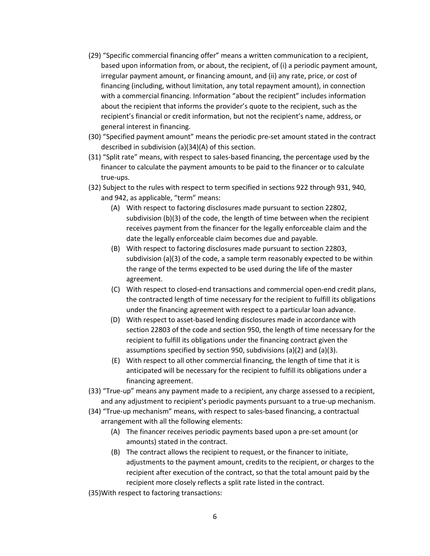- (29) "Specific commercial financing offer" means a written communication to a recipient, based upon information from, or about, the recipient, of (i) a periodic payment amount, irregular payment amount, or financing amount, and (ii) any rate, price, or cost of financing (including, without limitation, any total repayment amount), in connection with a commercial financing. Information "about the recipient" includes information about the recipient that informs the provider's quote to the recipient, such as the recipient's financial or credit information, but not the recipient's name, address, or general interest in financing.
- (30) "Specified payment amount" means the periodic pre-set amount stated in the contract described in subdivision (a)(34)(A) of this section.
- (31) "Split rate" means, with respect to sales-based financing, the percentage used by the financer to calculate the payment amounts to be paid to the financer or to calculate true-ups.
- (32) Subject to the rules with respect to term specified in sections 922 through 931, 940, and 942, as applicable, "term" means:
	- (A) With respect to factoring disclosures made pursuant to section 22802, subdivision (b)(3) of the code, the length of time between when the recipient receives payment from the financer for the legally enforceable claim and the date the legally enforceable claim becomes due and payable.
	- (B) With respect to factoring disclosures made pursuant to section 22803, subdivision (a)(3) of the code, a sample term reasonably expected to be within the range of the terms expected to be used during the life of the master agreement.
	- (C) With respect to closed-end transactions and commercial open-end credit plans, the contracted length of time necessary for the recipient to fulfill its obligations under the financing agreement with respect to a particular loan advance.
	- (D) With respect to asset-based lending disclosures made in accordance with section 22803 of the code and section 950, the length of time necessary for the recipient to fulfill its obligations under the financing contract given the assumptions specified by section 950, subdivisions (a)(2) and (a)(3).
	- (E) With respect to all other commercial financing, the length of time that it is anticipated will be necessary for the recipient to fulfill its obligations under a financing agreement.
- (33) "True-up" means any payment made to a recipient, any charge assessed to a recipient, and any adjustment to recipient's periodic payments pursuant to a true-up mechanism.
- (34) "True-up mechanism" means, with respect to sales-based financing, a contractual arrangement with all the following elements:
	- (A) The financer receives periodic payments based upon a pre-set amount (or amounts) stated in the contract.
	- (B) The contract allows the recipient to request, or the financer to initiate, adjustments to the payment amount, credits to the recipient, or charges to the recipient after execution of the contract, so that the total amount paid by the recipient more closely reflects a split rate listed in the contract.
- (35)With respect to factoring transactions: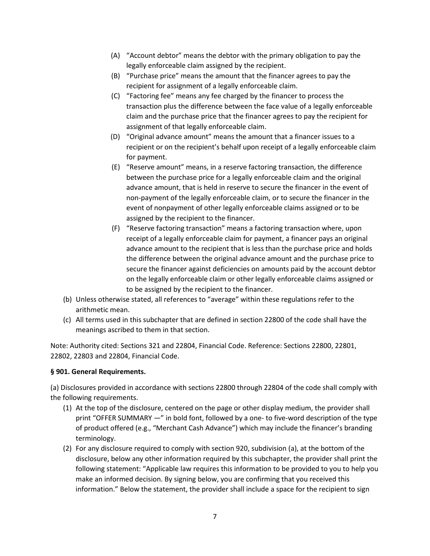- (A) "Account debtor" means the debtor with the primary obligation to pay the legally enforceable claim assigned by the recipient.
- (B) "Purchase price" means the amount that the financer agrees to pay the recipient for assignment of a legally enforceable claim.
- (C) "Factoring fee" means any fee charged by the financer to process the transaction plus the difference between the face value of a legally enforceable claim and the purchase price that the financer agrees to pay the recipient for assignment of that legally enforceable claim.
- (D) "Original advance amount" means the amount that a financer issues to a recipient or on the recipient's behalf upon receipt of a legally enforceable claim for payment.
- (E) "Reserve amount" means, in a reserve factoring transaction, the difference between the purchase price for a legally enforceable claim and the original advance amount, that is held in reserve to secure the financer in the event of non-payment of the legally enforceable claim, or to secure the financer in the event of nonpayment of other legally enforceable claims assigned or to be assigned by the recipient to the financer.
- (F) "Reserve factoring transaction" means a factoring transaction where, upon receipt of a legally enforceable claim for payment, a financer pays an original advance amount to the recipient that is less than the purchase price and holds the difference between the original advance amount and the purchase price to secure the financer against deficiencies on amounts paid by the account debtor on the legally enforceable claim or other legally enforceable claims assigned or to be assigned by the recipient to the financer.
- (b) Unless otherwise stated, all references to "average" within these regulations refer to the arithmetic mean.
- (c) All terms used in this subchapter that are defined in section 22800 of the code shall have the meanings ascribed to them in that section.

# **§ 901. General Requirements.**

(a) Disclosures provided in accordance with sections 22800 through 22804 of the code shall comply with the following requirements.

- (1) At the top of the disclosure, centered on the page or other display medium, the provider shall print "OFFER SUMMARY —" in bold font, followed by a one- to five-word description of the type of product offered (e.g., "Merchant Cash Advance") which may include the financer's branding terminology.
- (2) For any disclosure required to comply with section 920, subdivision (a), at the bottom of the disclosure, below any other information required by this subchapter, the provider shall print the following statement: "Applicable law requires this information to be provided to you to help you make an informed decision. By signing below, you are confirming that you received this information." Below the statement, the provider shall include a space for the recipient to sign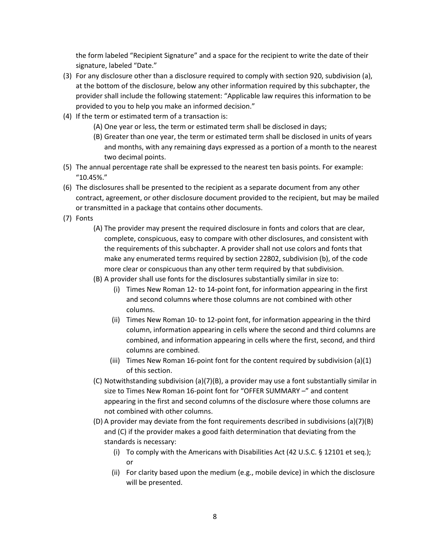the form labeled "Recipient Signature" and a space for the recipient to write the date of their signature, labeled "Date."

- (3) For any disclosure other than a disclosure required to comply with section 920, subdivision (a), at the bottom of the disclosure, below any other information required by this subchapter, the provider shall include the following statement: "Applicable law requires this information to be provided to you to help you make an informed decision."
- (4) If the term or estimated term of a transaction is:
	- (A) One year or less, the term or estimated term shall be disclosed in days;
	- (B) Greater than one year, the term or estimated term shall be disclosed in units of years and months, with any remaining days expressed as a portion of a month to the nearest two decimal points.
- (5) The annual percentage rate shall be expressed to the nearest ten basis points. For example: "10.45%."
- (6) The disclosures shall be presented to the recipient as a separate document from any other contract, agreement, or other disclosure document provided to the recipient, but may be mailed or transmitted in a package that contains other documents.
- (7) Fonts
	- (A) The provider may present the required disclosure in fonts and colors that are clear, complete, conspicuous, easy to compare with other disclosures, and consistent with the requirements of this subchapter. A provider shall not use colors and fonts that make any enumerated terms required by section 22802, subdivision (b), of the code more clear or conspicuous than any other term required by that subdivision.
	- (B) A provider shall use fonts for the disclosures substantially similar in size to:
		- (i) Times New Roman 12- to 14-point font, for information appearing in the first and second columns where those columns are not combined with other columns.
		- (ii) Times New Roman 10- to 12-point font, for information appearing in the third column, information appearing in cells where the second and third columns are combined, and information appearing in cells where the first, second, and third columns are combined.
		- (iii) Times New Roman 16-point font for the content required by subdivision (a)(1) of this section.
	- (C) Notwithstanding subdivision (a)(7)(B), a provider may use a font substantially similar in size to Times New Roman 16-point font for "OFFER SUMMARY –" and content appearing in the first and second columns of the disclosure where those columns are not combined with other columns.
	- (D) A provider may deviate from the font requirements described in subdivisions (a)(7)(B) and (C) if the provider makes a good faith determination that deviating from the standards is necessary:
		- (i) To comply with the Americans with Disabilities Act (42 U.S.C. § 12101 et seq.); or
		- (ii) For clarity based upon the medium (e.g., mobile device) in which the disclosure will be presented.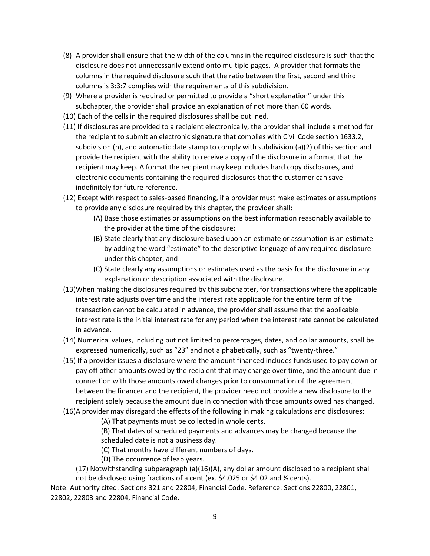- (8) A provider shall ensure that the width of the columns in the required disclosure is such that the disclosure does not unnecessarily extend onto multiple pages. A provider that formats the columns in the required disclosure such that the ratio between the first, second and third columns is 3:3:7 complies with the requirements of this subdivision.
- (9) Where a provider is required or permitted to provide a "short explanation" under this subchapter, the provider shall provide an explanation of not more than 60 words.
- (10) Each of the cells in the required disclosures shall be outlined.
- (11) If disclosures are provided to a recipient electronically, the provider shall include a method for the recipient to submit an electronic signature that complies with Civil Code section 1633.2, subdivision (h), and automatic date stamp to comply with subdivision (a)(2) of this section and provide the recipient with the ability to receive a copy of the disclosure in a format that the recipient may keep. A format the recipient may keep includes hard copy disclosures, and electronic documents containing the required disclosures that the customer can save indefinitely for future reference.
- (12) Except with respect to sales-based financing, if a provider must make estimates or assumptions to provide any disclosure required by this chapter, the provider shall:
	- (A) Base those estimates or assumptions on the best information reasonably available to the provider at the time of the disclosure;
	- (B) State clearly that any disclosure based upon an estimate or assumption is an estimate by adding the word "estimate" to the descriptive language of any required disclosure under this chapter; and
	- (C) State clearly any assumptions or estimates used as the basis for the disclosure in any explanation or description associated with the disclosure.
- (13)When making the disclosures required by this subchapter, for transactions where the applicable interest rate adjusts over time and the interest rate applicable for the entire term of the transaction cannot be calculated in advance, the provider shall assume that the applicable interest rate is the initial interest rate for any period when the interest rate cannot be calculated in advance.
- (14) Numerical values, including but not limited to percentages, dates, and dollar amounts, shall be expressed numerically, such as "23" and not alphabetically, such as "twenty-three."
- (15) If a provider issues a disclosure where the amount financed includes funds used to pay down or pay off other amounts owed by the recipient that may change over time, and the amount due in connection with those amounts owed changes prior to consummation of the agreement between the financer and the recipient, the provider need not provide a new disclosure to the recipient solely because the amount due in connection with those amounts owed has changed.
- (16)A provider may disregard the effects of the following in making calculations and disclosures:
	- (A) That payments must be collected in whole cents.
	- (B) That dates of scheduled payments and advances may be changed because the scheduled date is not a business day.
	- (C) That months have different numbers of days.
	- (D) The occurrence of leap years.
	- (17) Notwithstanding subparagraph (a)(16)(A), any dollar amount disclosed to a recipient shall not be disclosed using fractions of a cent (ex. \$4.025 or \$4.02 and ½ cents).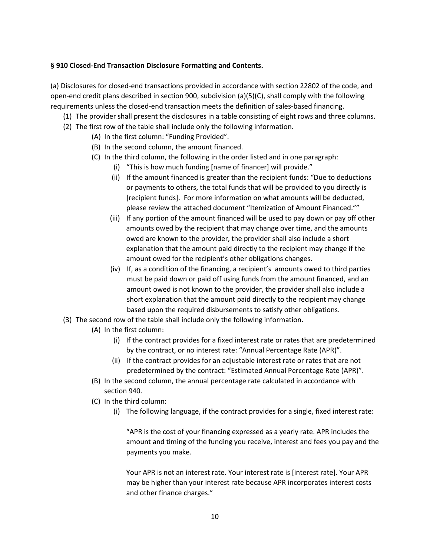### **§ 910 Closed-End Transaction Disclosure Formatting and Contents.**

(a) Disclosures for closed-end transactions provided in accordance with section 22802 of the code, and open-end credit plans described in section 900, subdivision (a)(5)(C), shall comply with the following requirements unless the closed-end transaction meets the definition of sales-based financing.

- (1) The provider shall present the disclosures in a table consisting of eight rows and three columns.
- (2) The first row of the table shall include only the following information.
	- (A) In the first column: "Funding Provided".
	- (B) In the second column, the amount financed.
	- (C) In the third column, the following in the order listed and in one paragraph:
		- (i) "This is how much funding [name of financer] will provide."
		- (ii) If the amount financed is greater than the recipient funds: "Due to deductions or payments to others, the total funds that will be provided to you directly is [recipient funds]. For more information on what amounts will be deducted, please review the attached document "Itemization of Amount Financed.""
		- (iii) If any portion of the amount financed will be used to pay down or pay off other amounts owed by the recipient that may change over time, and the amounts owed are known to the provider, the provider shall also include a short explanation that the amount paid directly to the recipient may change if the amount owed for the recipient's other obligations changes.
		- (iv) If, as a condition of the financing, a recipient's amounts owed to third parties must be paid down or paid off using funds from the amount financed, and an amount owed is not known to the provider, the provider shall also include a short explanation that the amount paid directly to the recipient may change based upon the required disbursements to satisfy other obligations.
- (3) The second row of the table shall include only the following information.
	- (A) In the first column:
		- (i) If the contract provides for a fixed interest rate or rates that are predetermined by the contract, or no interest rate: "Annual Percentage Rate (APR)".
		- (ii) If the contract provides for an adjustable interest rate or rates that are not predetermined by the contract: "Estimated Annual Percentage Rate (APR)".
	- (B) In the second column, the annual percentage rate calculated in accordance with section 940.
	- (C) In the third column:
		- (i) The following language, if the contract provides for a single, fixed interest rate:

"APR is the cost of your financing expressed as a yearly rate. APR includes the amount and timing of the funding you receive, interest and fees you pay and the payments you make.

Your APR is not an interest rate. Your interest rate is [interest rate]. Your APR may be higher than your interest rate because APR incorporates interest costs and other finance charges."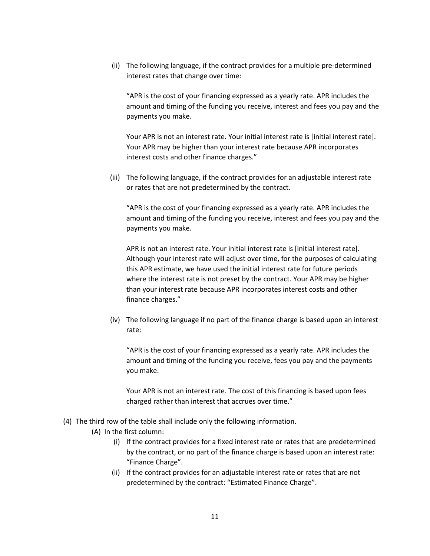(ii) The following language, if the contract provides for a multiple pre-determined interest rates that change over time:

"APR is the cost of your financing expressed as a yearly rate. APR includes the amount and timing of the funding you receive, interest and fees you pay and the payments you make.

Your APR is not an interest rate. Your initial interest rate is [initial interest rate]. Your APR may be higher than your interest rate because APR incorporates interest costs and other finance charges."

(iii) The following language, if the contract provides for an adjustable interest rate or rates that are not predetermined by the contract.

"APR is the cost of your financing expressed as a yearly rate. APR includes the amount and timing of the funding you receive, interest and fees you pay and the payments you make.

APR is not an interest rate. Your initial interest rate is [initial interest rate]. Although your interest rate will adjust over time, for the purposes of calculating this APR estimate, we have used the initial interest rate for future periods where the interest rate is not preset by the contract. Your APR may be higher than your interest rate because APR incorporates interest costs and other finance charges."

(iv) The following language if no part of the finance charge is based upon an interest rate:

"APR is the cost of your financing expressed as a yearly rate. APR includes the amount and timing of the funding you receive, fees you pay and the payments you make.

Your APR is not an interest rate. The cost of this financing is based upon fees charged rather than interest that accrues over time."

- (4) The third row of the table shall include only the following information.
	- (A) In the first column:
		- (i) If the contract provides for a fixed interest rate or rates that are predetermined by the contract, or no part of the finance charge is based upon an interest rate: "Finance Charge".
		- (ii) If the contract provides for an adjustable interest rate or rates that are not predetermined by the contract: "Estimated Finance Charge".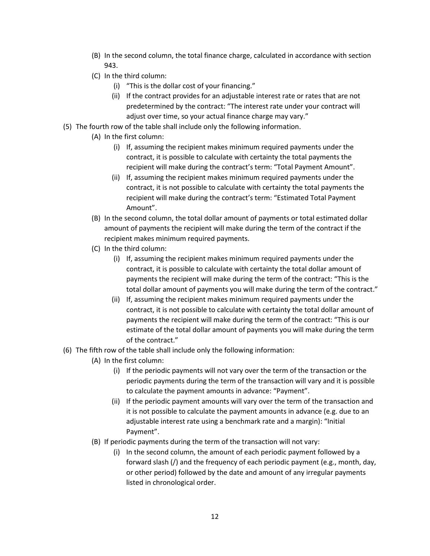- (B) In the second column, the total finance charge, calculated in accordance with section 943.
- (C) In the third column:
	- (i) "This is the dollar cost of your financing."
	- (ii) If the contract provides for an adjustable interest rate or rates that are not predetermined by the contract: "The interest rate under your contract will adjust over time, so your actual finance charge may vary."
- (5) The fourth row of the table shall include only the following information.
	- (A) In the first column:
		- (i) If, assuming the recipient makes minimum required payments under the contract, it is possible to calculate with certainty the total payments the recipient will make during the contract's term: "Total Payment Amount".
		- (ii) If, assuming the recipient makes minimum required payments under the contract, it is not possible to calculate with certainty the total payments the recipient will make during the contract's term: "Estimated Total Payment Amount".
	- (B) In the second column, the total dollar amount of payments or total estimated dollar amount of payments the recipient will make during the term of the contract if the recipient makes minimum required payments.
	- (C) In the third column:
		- (i) If, assuming the recipient makes minimum required payments under the contract, it is possible to calculate with certainty the total dollar amount of payments the recipient will make during the term of the contract: "This is the total dollar amount of payments you will make during the term of the contract."
		- (ii) If, assuming the recipient makes minimum required payments under the contract, it is not possible to calculate with certainty the total dollar amount of payments the recipient will make during the term of the contract: "This is our estimate of the total dollar amount of payments you will make during the term of the contract."
- (6) The fifth row of the table shall include only the following information:
	- (A) In the first column:
		- (i) If the periodic payments will not vary over the term of the transaction or the periodic payments during the term of the transaction will vary and it is possible to calculate the payment amounts in advance: "Payment".
		- (ii) If the periodic payment amounts will vary over the term of the transaction and it is not possible to calculate the payment amounts in advance (e.g. due to an adjustable interest rate using a benchmark rate and a margin): "Initial Payment".
	- (B) If periodic payments during the term of the transaction will not vary:
		- (i) In the second column, the amount of each periodic payment followed by a forward slash (/) and the frequency of each periodic payment (e.g., month, day, or other period) followed by the date and amount of any irregular payments listed in chronological order.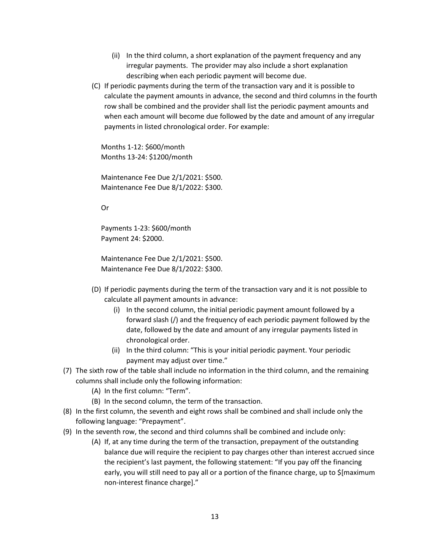- (ii) In the third column, a short explanation of the payment frequency and any irregular payments. The provider may also include a short explanation describing when each periodic payment will become due.
- (C) If periodic payments during the term of the transaction vary and it is possible to calculate the payment amounts in advance, the second and third columns in the fourth row shall be combined and the provider shall list the periodic payment amounts and when each amount will become due followed by the date and amount of any irregular payments in listed chronological order. For example:

Months 1-12: \$600/month Months 13-24: \$1200/month

Maintenance Fee Due 2/1/2021: \$500. Maintenance Fee Due 8/1/2022: \$300.

Or

Payments 1-23: \$600/month Payment 24: \$2000.

Maintenance Fee Due 2/1/2021: \$500. Maintenance Fee Due 8/1/2022: \$300.

- (D) If periodic payments during the term of the transaction vary and it is not possible to calculate all payment amounts in advance:
	- (i) In the second column, the initial periodic payment amount followed by a forward slash (/) and the frequency of each periodic payment followed by the date, followed by the date and amount of any irregular payments listed in chronological order.
	- (ii) In the third column: "This is your initial periodic payment. Your periodic payment may adjust over time."
- (7) The sixth row of the table shall include no information in the third column, and the remaining columns shall include only the following information:
	- (A) In the first column: "Term".
	- (B) In the second column, the term of the transaction.
- (8) In the first column, the seventh and eight rows shall be combined and shall include only the following language: "Prepayment".
- (9) In the seventh row, the second and third columns shall be combined and include only:
	- (A) If, at any time during the term of the transaction, prepayment of the outstanding balance due will require the recipient to pay charges other than interest accrued since the recipient's last payment, the following statement: "If you pay off the financing early, you will still need to pay all or a portion of the finance charge, up to \$[maximum non-interest finance charge]."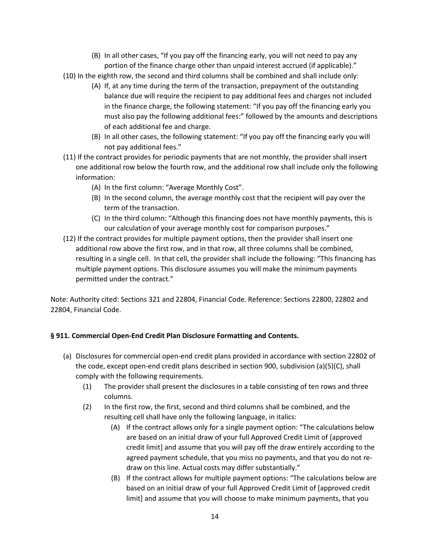- (B) In all other cases, "If you pay off the financing early, you will not need to pay any portion of the finance charge other than unpaid interest accrued (if applicable)."
- (10) In the eighth row, the second and third columns shall be combined and shall include only:
	- (A) If, at any time during the term of the transaction, prepayment of the outstanding balance due will require the recipient to pay additional fees and charges not included in the finance charge, the following statement: "If you pay off the financing early you must also pay the following additional fees:" followed by the amounts and descriptions of each additional fee and charge.
	- (B) In all other cases, the following statement: "If you pay off the financing early you will not pay additional fees."
- (11) If the contract provides for periodic payments that are not monthly, the provider shall insert one additional row below the fourth row, and the additional row shall include only the following information:
	- (A) In the first column: "Average Monthly Cost".
	- (B) In the second column, the average monthly cost that the recipient will pay over the term of the transaction.
	- (C) In the third column: "Although this financing does not have monthly payments, this is our calculation of your average monthly cost for comparison purposes."
- (12) If the contract provides for multiple payment options, then the provider shall insert one additional row above the first row, and in that row, all three columns shall be combined, resulting in a single cell. In that cell, the provider shall include the following: "This financing has multiple payment options. This disclosure assumes you will make the minimum payments permitted under the contract."

# **§ 911. Commercial Open-End Credit Plan Disclosure Formatting and Contents.**

- (a) Disclosures for commercial open-end credit plans provided in accordance with section 22802 of the code, except open-end credit plans described in section 900, subdivision (a)(5)(C), shall comply with the following requirements.
	- (1) The provider shall present the disclosures in a table consisting of ten rows and three columns.
	- (2) In the first row, the first, second and third columns shall be combined, and the resulting cell shall have only the following language, in italics:
		- (A) If the contract allows only for a single payment option: "The calculations below are based on an initial draw of your full Approved Credit Limit of [approved credit limit] and assume that you will pay off the draw entirely according to the agreed payment schedule, that you miss no payments, and that you do not redraw on this line. Actual costs may differ substantially."
		- (B) If the contract allows for multiple payment options: "The calculations below are based on an initial draw of your full Approved Credit Limit of [approved credit limit] and assume that you will choose to make minimum payments, that you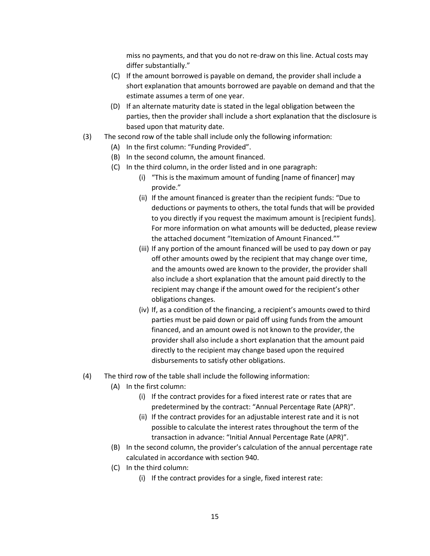miss no payments, and that you do not re-draw on this line. Actual costs may differ substantially."

- (C) If the amount borrowed is payable on demand, the provider shall include a short explanation that amounts borrowed are payable on demand and that the estimate assumes a term of one year.
- (D) If an alternate maturity date is stated in the legal obligation between the parties, then the provider shall include a short explanation that the disclosure is based upon that maturity date.
- (3) The second row of the table shall include only the following information:
	- (A) In the first column: "Funding Provided".
	- (B) In the second column, the amount financed.
	- (C) In the third column, in the order listed and in one paragraph:
		- (i) "This is the maximum amount of funding [name of financer] may provide."
		- (ii) If the amount financed is greater than the recipient funds: "Due to deductions or payments to others, the total funds that will be provided to you directly if you request the maximum amount is [recipient funds]. For more information on what amounts will be deducted, please review the attached document "Itemization of Amount Financed.""
		- (iii) If any portion of the amount financed will be used to pay down or pay off other amounts owed by the recipient that may change over time, and the amounts owed are known to the provider, the provider shall also include a short explanation that the amount paid directly to the recipient may change if the amount owed for the recipient's other obligations changes.
		- (iv) If, as a condition of the financing, a recipient's amounts owed to third parties must be paid down or paid off using funds from the amount financed, and an amount owed is not known to the provider, the provider shall also include a short explanation that the amount paid directly to the recipient may change based upon the required disbursements to satisfy other obligations.
- (4) The third row of the table shall include the following information:
	- (A) In the first column:
		- (i) If the contract provides for a fixed interest rate or rates that are predetermined by the contract: "Annual Percentage Rate (APR)".
		- (ii) If the contract provides for an adjustable interest rate and it is not possible to calculate the interest rates throughout the term of the transaction in advance: "Initial Annual Percentage Rate (APR)".
	- (B) In the second column, the provider's calculation of the annual percentage rate calculated in accordance with section 940.
	- (C) In the third column:
		- (i) If the contract provides for a single, fixed interest rate: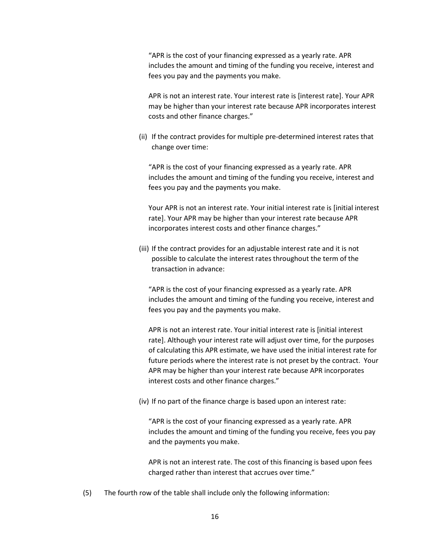"APR is the cost of your financing expressed as a yearly rate. APR includes the amount and timing of the funding you receive, interest and fees you pay and the payments you make.

APR is not an interest rate. Your interest rate is [interest rate]. Your APR may be higher than your interest rate because APR incorporates interest costs and other finance charges."

(ii) If the contract provides for multiple pre-determined interest rates that change over time:

"APR is the cost of your financing expressed as a yearly rate. APR includes the amount and timing of the funding you receive, interest and fees you pay and the payments you make.

Your APR is not an interest rate. Your initial interest rate is [initial interest rate]. Your APR may be higher than your interest rate because APR incorporates interest costs and other finance charges."

(iii) If the contract provides for an adjustable interest rate and it is not possible to calculate the interest rates throughout the term of the transaction in advance:

"APR is the cost of your financing expressed as a yearly rate. APR includes the amount and timing of the funding you receive, interest and fees you pay and the payments you make.

APR is not an interest rate. Your initial interest rate is [initial interest rate]. Although your interest rate will adjust over time, for the purposes of calculating this APR estimate, we have used the initial interest rate for future periods where the interest rate is not preset by the contract. Your APR may be higher than your interest rate because APR incorporates interest costs and other finance charges."

(iv) If no part of the finance charge is based upon an interest rate:

"APR is the cost of your financing expressed as a yearly rate. APR includes the amount and timing of the funding you receive, fees you pay and the payments you make.

APR is not an interest rate. The cost of this financing is based upon fees charged rather than interest that accrues over time."

(5) The fourth row of the table shall include only the following information: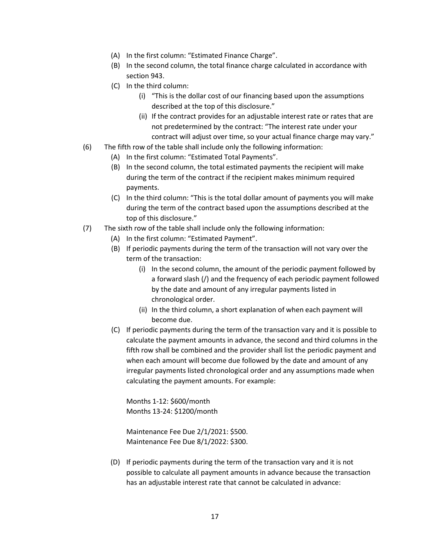- (A) In the first column: "Estimated Finance Charge".
- (B) In the second column, the total finance charge calculated in accordance with section 943.
- (C) In the third column:
	- (i) "This is the dollar cost of our financing based upon the assumptions described at the top of this disclosure."
	- (ii) If the contract provides for an adjustable interest rate or rates that are not predetermined by the contract: "The interest rate under your contract will adjust over time, so your actual finance charge may vary."
- (6) The fifth row of the table shall include only the following information:
	- (A) In the first column: "Estimated Total Payments".
	- (B) In the second column, the total estimated payments the recipient will make during the term of the contract if the recipient makes minimum required payments.
	- (C) In the third column: "This is the total dollar amount of payments you will make during the term of the contract based upon the assumptions described at the top of this disclosure."
- (7) The sixth row of the table shall include only the following information:
	- (A) In the first column: "Estimated Payment".
	- (B) If periodic payments during the term of the transaction will not vary over the term of the transaction:
		- (i) In the second column, the amount of the periodic payment followed by a forward slash (/) and the frequency of each periodic payment followed by the date and amount of any irregular payments listed in chronological order.
		- (ii) In the third column, a short explanation of when each payment will become due.
	- (C) If periodic payments during the term of the transaction vary and it is possible to calculate the payment amounts in advance, the second and third columns in the fifth row shall be combined and the provider shall list the periodic payment and when each amount will become due followed by the date and amount of any irregular payments listed chronological order and any assumptions made when calculating the payment amounts. For example:

Months 1-12: \$600/month Months 13-24: \$1200/month

Maintenance Fee Due 2/1/2021: \$500. Maintenance Fee Due 8/1/2022: \$300.

(D) If periodic payments during the term of the transaction vary and it is not possible to calculate all payment amounts in advance because the transaction has an adjustable interest rate that cannot be calculated in advance: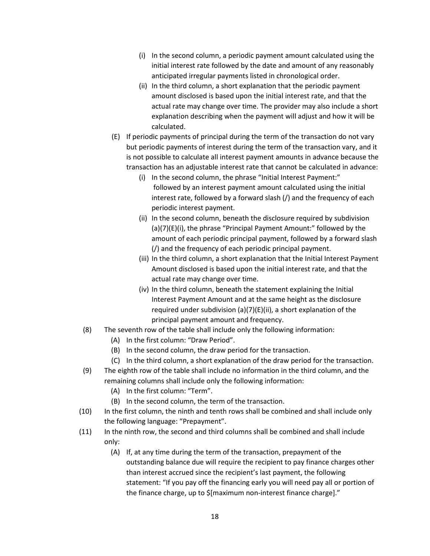- (i) In the second column, a periodic payment amount calculated using the initial interest rate followed by the date and amount of any reasonably anticipated irregular payments listed in chronological order.
- (ii) In the third column, a short explanation that the periodic payment amount disclosed is based upon the initial interest rate, and that the actual rate may change over time. The provider may also include a short explanation describing when the payment will adjust and how it will be calculated.
- (E) If periodic payments of principal during the term of the transaction do not vary but periodic payments of interest during the term of the transaction vary, and it is not possible to calculate all interest payment amounts in advance because the transaction has an adjustable interest rate that cannot be calculated in advance:
	- (i) In the second column, the phrase "Initial Interest Payment:" followed by an interest payment amount calculated using the initial interest rate, followed by a forward slash (/) and the frequency of each periodic interest payment.
	- (ii) In the second column, beneath the disclosure required by subdivision (a)(7)(E)(i), the phrase "Principal Payment Amount:" followed by the amount of each periodic principal payment, followed by a forward slash (/) and the frequency of each periodic principal payment.
	- (iii) In the third column, a short explanation that the Initial Interest Payment Amount disclosed is based upon the initial interest rate, and that the actual rate may change over time.
	- (iv) In the third column, beneath the statement explaining the Initial Interest Payment Amount and at the same height as the disclosure required under subdivision (a)(7)(E)(ii), a short explanation of the principal payment amount and frequency.
- (8) The seventh row of the table shall include only the following information:
	- (A) In the first column: "Draw Period".
	- (B) In the second column, the draw period for the transaction.
	- (C) In the third column, a short explanation of the draw period for the transaction.
- (9) The eighth row of the table shall include no information in the third column, and the remaining columns shall include only the following information:
	- (A) In the first column: "Term".
	- (B) In the second column, the term of the transaction.
- (10) In the first column, the ninth and tenth rows shall be combined and shall include only the following language: "Prepayment".
- (11) In the ninth row, the second and third columns shall be combined and shall include only:
	- (A) If, at any time during the term of the transaction, prepayment of the outstanding balance due will require the recipient to pay finance charges other than interest accrued since the recipient's last payment, the following statement: "If you pay off the financing early you will need pay all or portion of the finance charge, up to \$[maximum non-interest finance charge]."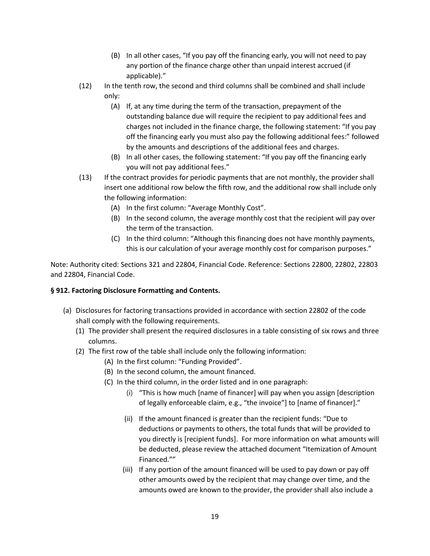- (B) In all other cases, "If you pay off the financing early, you will not need to pay any portion of the finance charge other than unpaid interest accrued (if applicable)."
- (12) In the tenth row, the second and third columns shall be combined and shall include only:
	- (A) If, at any time during the term of the transaction, prepayment of the outstanding balance due will require the recipient to pay additional fees and charges not included in the finance charge, the following statement: "If you pay off the financing early you must also pay the following additional fees:" followed by the amounts and descriptions of the additional fees and charges.
	- (B) In all other cases, the following statement: "If you pay off the financing early you will not pay additional fees."
- (13) If the contract provides for periodic payments that are not monthly, the provider shall insert one additional row below the fifth row, and the additional row shall include only the following information:
	- (A) In the first column: "Average Monthly Cost".
	- (B) In the second column, the average monthly cost that the recipient will pay over the term of the transaction.
	- (C) In the third column: "Although this financing does not have monthly payments, this is our calculation of your average monthly cost for comparison purposes."

### **§ 912. Factoring Disclosure Formatting and Contents.**

- (a) Disclosures for factoring transactions provided in accordance with section 22802 of the code shall comply with the following requirements.
	- (1) The provider shall present the required disclosures in a table consisting of six rows and three columns.
	- (2) The first row of the table shall include only the following information:
		- (A) In the first column: "Funding Provided".
		- (B) In the second column, the amount financed.
		- (C) In the third column, in the order listed and in one paragraph:
			- (i) "This is how much [name of financer] will pay when you assign [description of legally enforceable claim, e.g., "the invoice"] to [name of financer]."
			- (ii) If the amount financed is greater than the recipient funds: "Due to deductions or payments to others, the total funds that will be provided to you directly is [recipient funds]. For more information on what amounts will be deducted, please review the attached document "Itemization of Amount Financed.""
			- (iii) If any portion of the amount financed will be used to pay down or pay off other amounts owed by the recipient that may change over time, and the amounts owed are known to the provider, the provider shall also include a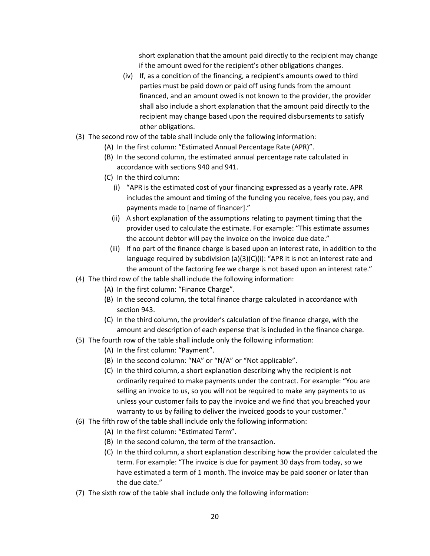short explanation that the amount paid directly to the recipient may change if the amount owed for the recipient's other obligations changes.

- (iv) If, as a condition of the financing, a recipient's amounts owed to third parties must be paid down or paid off using funds from the amount financed, and an amount owed is not known to the provider, the provider shall also include a short explanation that the amount paid directly to the recipient may change based upon the required disbursements to satisfy other obligations.
- (3) The second row of the table shall include only the following information:
	- (A) In the first column: "Estimated Annual Percentage Rate (APR)".
	- (B) In the second column, the estimated annual percentage rate calculated in accordance with sections 940 and 941.
	- (C) In the third column:
		- (i) "APR is the estimated cost of your financing expressed as a yearly rate. APR includes the amount and timing of the funding you receive, fees you pay, and payments made to [name of financer]."
		- (ii) A short explanation of the assumptions relating to payment timing that the provider used to calculate the estimate. For example: "This estimate assumes the account debtor will pay the invoice on the invoice due date."
		- (iii) If no part of the finance charge is based upon an interest rate, in addition to the language required by subdivision (a)(3)(C)(i): "APR it is not an interest rate and the amount of the factoring fee we charge is not based upon an interest rate."
- (4) The third row of the table shall include the following information:
	- (A) In the first column: "Finance Charge".
	- (B) In the second column, the total finance charge calculated in accordance with section 943.
	- (C) In the third column, the provider's calculation of the finance charge, with the amount and description of each expense that is included in the finance charge.
- (5) The fourth row of the table shall include only the following information:
	- (A) In the first column: "Payment".
	- (B) In the second column: "NA" or "N/A" or "Not applicable".
	- (C) In the third column, a short explanation describing why the recipient is not ordinarily required to make payments under the contract. For example: "You are selling an invoice to us, so you will not be required to make any payments to us unless your customer fails to pay the invoice and we find that you breached your warranty to us by failing to deliver the invoiced goods to your customer."
- (6) The fifth row of the table shall include only the following information:
	- (A) In the first column: "Estimated Term".
	- (B) In the second column, the term of the transaction.
	- (C) In the third column, a short explanation describing how the provider calculated the term. For example: "The invoice is due for payment 30 days from today, so we have estimated a term of 1 month. The invoice may be paid sooner or later than the due date."
- (7) The sixth row of the table shall include only the following information: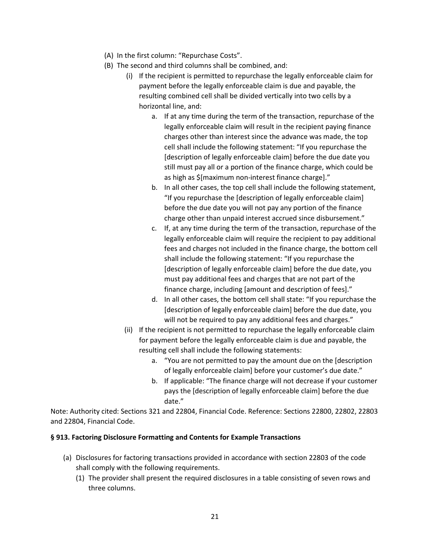- (A) In the first column: "Repurchase Costs".
- (B) The second and third columns shall be combined, and:
	- (i) If the recipient is permitted to repurchase the legally enforceable claim for payment before the legally enforceable claim is due and payable, the resulting combined cell shall be divided vertically into two cells by a horizontal line, and:
		- a. If at any time during the term of the transaction, repurchase of the legally enforceable claim will result in the recipient paying finance charges other than interest since the advance was made, the top cell shall include the following statement: "If you repurchase the [description of legally enforceable claim] before the due date you still must pay all or a portion of the finance charge, which could be as high as \$[maximum non-interest finance charge]."
		- b. In all other cases, the top cell shall include the following statement, "If you repurchase the [description of legally enforceable claim] before the due date you will not pay any portion of the finance charge other than unpaid interest accrued since disbursement."
		- c. If, at any time during the term of the transaction, repurchase of the legally enforceable claim will require the recipient to pay additional fees and charges not included in the finance charge, the bottom cell shall include the following statement: "If you repurchase the [description of legally enforceable claim] before the due date, you must pay additional fees and charges that are not part of the finance charge, including [amount and description of fees]."
		- d. In all other cases, the bottom cell shall state: "If you repurchase the [description of legally enforceable claim] before the due date, you will not be required to pay any additional fees and charges."
	- (ii) If the recipient is not permitted to repurchase the legally enforceable claim for payment before the legally enforceable claim is due and payable, the resulting cell shall include the following statements:
		- a. "You are not permitted to pay the amount due on the [description of legally enforceable claim] before your customer's due date."
		- b. If applicable: "The finance charge will not decrease if your customer pays the [description of legally enforceable claim] before the due date."

### **§ 913. Factoring Disclosure Formatting and Contents for Example Transactions**

- (a) Disclosures for factoring transactions provided in accordance with section 22803 of the code shall comply with the following requirements.
	- (1) The provider shall present the required disclosures in a table consisting of seven rows and three columns.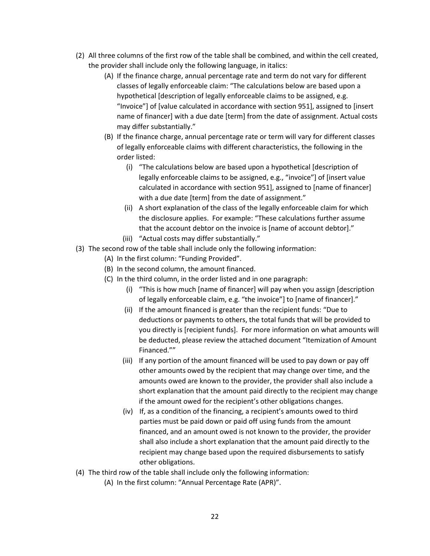- (2) All three columns of the first row of the table shall be combined, and within the cell created, the provider shall include only the following language, in italics:
	- (A) If the finance charge, annual percentage rate and term do not vary for different classes of legally enforceable claim: "The calculations below are based upon a hypothetical [description of legally enforceable claims to be assigned, e.g. "Invoice"] of [value calculated in accordance with section 951], assigned to [insert name of financer] with a due date [term] from the date of assignment. Actual costs may differ substantially."
	- (B) If the finance charge, annual percentage rate or term will vary for different classes of legally enforceable claims with different characteristics, the following in the order listed:
		- (i) "The calculations below are based upon a hypothetical [description of legally enforceable claims to be assigned, e.g., "invoice"] of [insert value calculated in accordance with section 951], assigned to [name of financer] with a due date [term] from the date of assignment."
		- (ii) A short explanation of the class of the legally enforceable claim for which the disclosure applies. For example: "These calculations further assume that the account debtor on the invoice is [name of account debtor]."
		- (iii) "Actual costs may differ substantially."
- (3) The second row of the table shall include only the following information:
	- (A) In the first column: "Funding Provided".
	- (B) In the second column, the amount financed.
	- (C) In the third column, in the order listed and in one paragraph:
		- (i) "This is how much [name of financer] will pay when you assign [description of legally enforceable claim, e.g. "the invoice"] to [name of financer]."
		- (ii) If the amount financed is greater than the recipient funds: "Due to deductions or payments to others, the total funds that will be provided to you directly is [recipient funds]. For more information on what amounts will be deducted, please review the attached document "Itemization of Amount Financed.""
		- (iii) If any portion of the amount financed will be used to pay down or pay off other amounts owed by the recipient that may change over time, and the amounts owed are known to the provider, the provider shall also include a short explanation that the amount paid directly to the recipient may change if the amount owed for the recipient's other obligations changes.
		- (iv) If, as a condition of the financing, a recipient's amounts owed to third parties must be paid down or paid off using funds from the amount financed, and an amount owed is not known to the provider, the provider shall also include a short explanation that the amount paid directly to the recipient may change based upon the required disbursements to satisfy other obligations.
- (4) The third row of the table shall include only the following information:
	- (A) In the first column: "Annual Percentage Rate (APR)".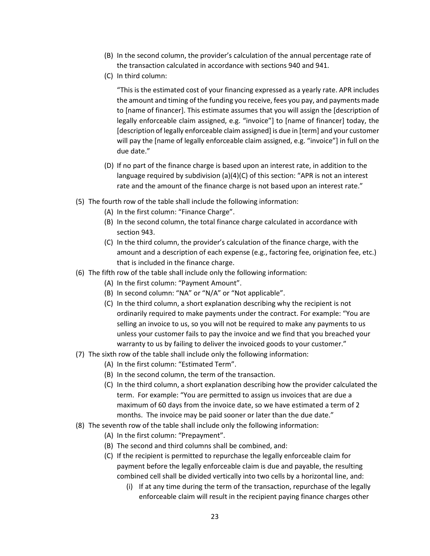- (B) In the second column, the provider's calculation of the annual percentage rate of the transaction calculated in accordance with sections 940 and 941.
- (C) In third column:

"This is the estimated cost of your financing expressed as a yearly rate. APR includes the amount and timing of the funding you receive, fees you pay, and payments made to [name of financer]. This estimate assumes that you will assign the [description of legally enforceable claim assigned, e.g. "invoice"] to [name of financer] today, the [description of legally enforceable claim assigned] is due in [term] and your customer will pay the [name of legally enforceable claim assigned, e.g. "invoice"] in full on the due date."

- (D) If no part of the finance charge is based upon an interest rate, in addition to the language required by subdivision  $(a)(4)(C)$  of this section: "APR is not an interest rate and the amount of the finance charge is not based upon an interest rate."
- (5) The fourth row of the table shall include the following information:
	- (A) In the first column: "Finance Charge".
	- (B) In the second column, the total finance charge calculated in accordance with section 943.
	- (C) In the third column, the provider's calculation of the finance charge, with the amount and a description of each expense (e.g., factoring fee, origination fee, etc.) that is included in the finance charge.
- (6) The fifth row of the table shall include only the following information:
	- (A) In the first column: "Payment Amount".
	- (B) In second column: "NA" or "N/A" or "Not applicable".
	- (C) In the third column, a short explanation describing why the recipient is not ordinarily required to make payments under the contract. For example: "You are selling an invoice to us, so you will not be required to make any payments to us unless your customer fails to pay the invoice and we find that you breached your warranty to us by failing to deliver the invoiced goods to your customer."
- (7) The sixth row of the table shall include only the following information:
	- (A) In the first column: "Estimated Term".
	- (B) In the second column, the term of the transaction.
	- (C) In the third column, a short explanation describing how the provider calculated the term. For example: "You are permitted to assign us invoices that are due a maximum of 60 days from the invoice date, so we have estimated a term of 2 months. The invoice may be paid sooner or later than the due date."
- (8) The seventh row of the table shall include only the following information:
	- (A) In the first column: "Prepayment".
	- (B) The second and third columns shall be combined, and:
	- (C) If the recipient is permitted to repurchase the legally enforceable claim for payment before the legally enforceable claim is due and payable, the resulting combined cell shall be divided vertically into two cells by a horizontal line, and:
		- (i) If at any time during the term of the transaction, repurchase of the legally enforceable claim will result in the recipient paying finance charges other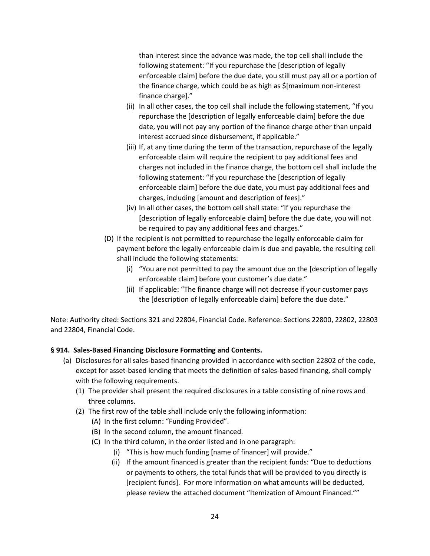than interest since the advance was made, the top cell shall include the following statement: "If you repurchase the [description of legally enforceable claim] before the due date, you still must pay all or a portion of the finance charge, which could be as high as \$[maximum non-interest finance charge]."

- (ii) In all other cases, the top cell shall include the following statement, "If you repurchase the [description of legally enforceable claim] before the due date, you will not pay any portion of the finance charge other than unpaid interest accrued since disbursement, if applicable."
- (iii) If, at any time during the term of the transaction, repurchase of the legally enforceable claim will require the recipient to pay additional fees and charges not included in the finance charge, the bottom cell shall include the following statement: "If you repurchase the [description of legally enforceable claim] before the due date, you must pay additional fees and charges, including [amount and description of fees]."
- (iv) In all other cases, the bottom cell shall state: "If you repurchase the [description of legally enforceable claim] before the due date, you will not be required to pay any additional fees and charges."
- (D) If the recipient is not permitted to repurchase the legally enforceable claim for payment before the legally enforceable claim is due and payable, the resulting cell shall include the following statements:
	- (i) "You are not permitted to pay the amount due on the [description of legally enforceable claim] before your customer's due date."
	- (ii) If applicable: "The finance charge will not decrease if your customer pays the [description of legally enforceable claim] before the due date."

Note: Authority cited: Sections 321 and 22804, Financial Code. Reference: Sections 22800, 22802, 22803 and 22804, Financial Code.

# **§ 914. Sales-Based Financing Disclosure Formatting and Contents.**

- (a) Disclosures for all sales-based financing provided in accordance with section 22802 of the code, except for asset-based lending that meets the definition of sales-based financing, shall comply with the following requirements.
	- (1) The provider shall present the required disclosures in a table consisting of nine rows and three columns.
	- (2) The first row of the table shall include only the following information:
		- (A) In the first column: "Funding Provided".
		- (B) In the second column, the amount financed.
		- (C) In the third column, in the order listed and in one paragraph:
			- (i) "This is how much funding [name of financer] will provide."
			- (ii) If the amount financed is greater than the recipient funds: "Due to deductions or payments to others, the total funds that will be provided to you directly is [recipient funds]. For more information on what amounts will be deducted, please review the attached document "Itemization of Amount Financed.""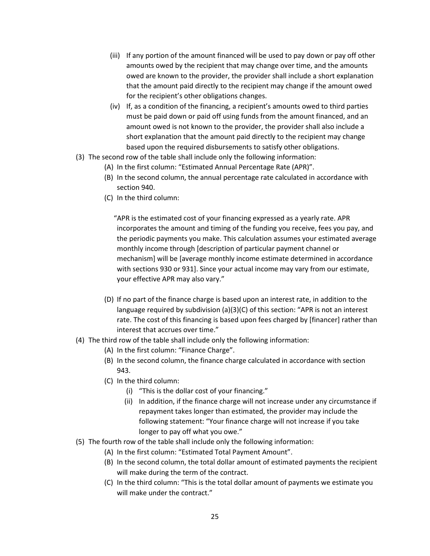- (iii) If any portion of the amount financed will be used to pay down or pay off other amounts owed by the recipient that may change over time, and the amounts owed are known to the provider, the provider shall include a short explanation that the amount paid directly to the recipient may change if the amount owed for the recipient's other obligations changes.
- (iv) If, as a condition of the financing, a recipient's amounts owed to third parties must be paid down or paid off using funds from the amount financed, and an amount owed is not known to the provider, the provider shall also include a short explanation that the amount paid directly to the recipient may change based upon the required disbursements to satisfy other obligations.
- (3) The second row of the table shall include only the following information:
	- (A) In the first column: "Estimated Annual Percentage Rate (APR)".
	- (B) In the second column, the annual percentage rate calculated in accordance with section 940.
	- (C) In the third column:

"APR is the estimated cost of your financing expressed as a yearly rate. APR incorporates the amount and timing of the funding you receive, fees you pay, and the periodic payments you make. This calculation assumes your estimated average monthly income through [description of particular payment channel or mechanism] will be [average monthly income estimate determined in accordance with sections 930 or 931]. Since your actual income may vary from our estimate, your effective APR may also vary."

- (D) If no part of the finance charge is based upon an interest rate, in addition to the language required by subdivision (a)(3)(C) of this section: "APR is not an interest rate. The cost of this financing is based upon fees charged by [financer] rather than interest that accrues over time."
- (4) The third row of the table shall include only the following information:
	- (A) In the first column: "Finance Charge".
	- (B) In the second column, the finance charge calculated in accordance with section 943.
	- (C) In the third column:
		- (i) "This is the dollar cost of your financing."
		- (ii) In addition, if the finance charge will not increase under any circumstance if repayment takes longer than estimated, the provider may include the following statement: "Your finance charge will not increase if you take longer to pay off what you owe."
- (5) The fourth row of the table shall include only the following information:
	- (A) In the first column: "Estimated Total Payment Amount".
	- (B) In the second column, the total dollar amount of estimated payments the recipient will make during the term of the contract.
	- (C) In the third column: "This is the total dollar amount of payments we estimate you will make under the contract."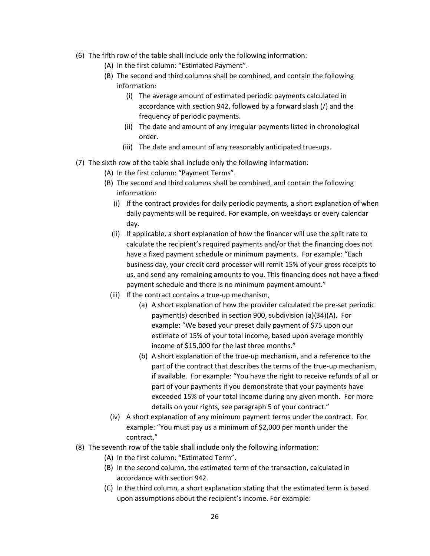- (6) The fifth row of the table shall include only the following information:
	- (A) In the first column: "Estimated Payment".
	- (B) The second and third columns shall be combined, and contain the following information:
		- (i) The average amount of estimated periodic payments calculated in accordance with section 942, followed by a forward slash (/) and the frequency of periodic payments.
		- (ii) The date and amount of any irregular payments listed in chronological order.
		- (iii) The date and amount of any reasonably anticipated true-ups.
- (7) The sixth row of the table shall include only the following information:
	- (A) In the first column: "Payment Terms".
	- (B) The second and third columns shall be combined, and contain the following information:
		- (i) If the contract provides for daily periodic payments, a short explanation of when daily payments will be required. For example, on weekdays or every calendar day.
		- (ii) If applicable, a short explanation of how the financer will use the split rate to calculate the recipient's required payments and/or that the financing does not have a fixed payment schedule or minimum payments. For example: "Each business day, your credit card processer will remit 15% of your gross receipts to us, and send any remaining amounts to you. This financing does not have a fixed payment schedule and there is no minimum payment amount."
		- (iii) If the contract contains a true-up mechanism,
			- (a) A short explanation of how the provider calculated the pre-set periodic payment(s) described in section 900, subdivision (a)(34)(A). For example: "We based your preset daily payment of \$75 upon our estimate of 15% of your total income, based upon average monthly income of \$15,000 for the last three months."
			- (b) A short explanation of the true-up mechanism, and a reference to the part of the contract that describes the terms of the true-up mechanism, if available. For example: "You have the right to receive refunds of all or part of your payments if you demonstrate that your payments have exceeded 15% of your total income during any given month. For more details on your rights, see paragraph 5 of your contract."
		- (iv) A short explanation of any minimum payment terms under the contract. For example: "You must pay us a minimum of \$2,000 per month under the contract."
- (8) The seventh row of the table shall include only the following information:
	- (A) In the first column: "Estimated Term".
	- (B) In the second column, the estimated term of the transaction, calculated in accordance with section 942.
	- (C) In the third column, a short explanation stating that the estimated term is based upon assumptions about the recipient's income. For example: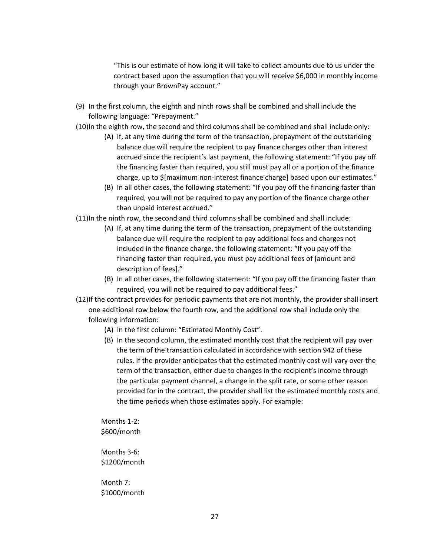"This is our estimate of how long it will take to collect amounts due to us under the contract based upon the assumption that you will receive \$6,000 in monthly income through your BrownPay account."

- (9) In the first column, the eighth and ninth rows shall be combined and shall include the following language: "Prepayment."
- (10)In the eighth row, the second and third columns shall be combined and shall include only:
	- (A) If, at any time during the term of the transaction, prepayment of the outstanding balance due will require the recipient to pay finance charges other than interest accrued since the recipient's last payment, the following statement: "If you pay off the financing faster than required, you still must pay all or a portion of the finance charge, up to \$[maximum non-interest finance charge] based upon our estimates."
	- (B) In all other cases, the following statement: "If you pay off the financing faster than required, you will not be required to pay any portion of the finance charge other than unpaid interest accrued."
- (11)In the ninth row, the second and third columns shall be combined and shall include:
	- (A) If, at any time during the term of the transaction, prepayment of the outstanding balance due will require the recipient to pay additional fees and charges not included in the finance charge, the following statement: "If you pay off the financing faster than required, you must pay additional fees of [amount and description of fees]."
	- (B) In all other cases, the following statement: "If you pay off the financing faster than required, you will not be required to pay additional fees."
- (12)If the contract provides for periodic payments that are not monthly, the provider shall insert one additional row below the fourth row, and the additional row shall include only the following information:
	- (A) In the first column: "Estimated Monthly Cost".
	- (B) In the second column, the estimated monthly cost that the recipient will pay over the term of the transaction calculated in accordance with section 942 of these rules. If the provider anticipates that the estimated monthly cost will vary over the term of the transaction, either due to changes in the recipient's income through the particular payment channel, a change in the split rate, or some other reason provided for in the contract, the provider shall list the estimated monthly costs and the time periods when those estimates apply. For example:

Months 1-2: \$600/month

Months 3-6: \$1200/month

Month 7: \$1000/month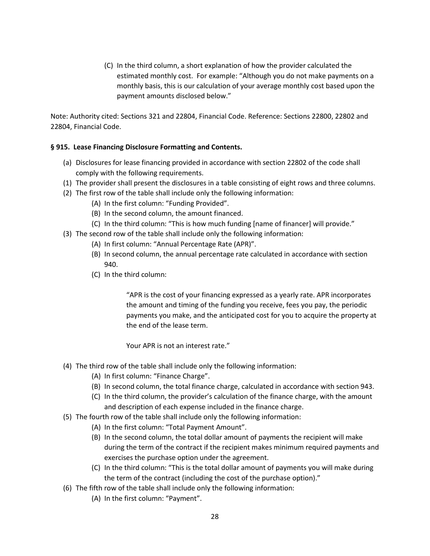(C) In the third column, a short explanation of how the provider calculated the estimated monthly cost. For example: "Although you do not make payments on a monthly basis, this is our calculation of your average monthly cost based upon the payment amounts disclosed below."

Note: Authority cited: Sections 321 and 22804, Financial Code. Reference: Sections 22800, 22802 and 22804, Financial Code.

### **§ 915. Lease Financing Disclosure Formatting and Contents.**

- (a) Disclosures for lease financing provided in accordance with section 22802 of the code shall comply with the following requirements.
- (1) The provider shall present the disclosures in a table consisting of eight rows and three columns.
- (2) The first row of the table shall include only the following information:
	- (A) In the first column: "Funding Provided".
	- (B) In the second column, the amount financed.
	- (C) In the third column: "This is how much funding [name of financer] will provide."
- (3) The second row of the table shall include only the following information:
	- (A) In first column: "Annual Percentage Rate (APR)".
	- (B) In second column, the annual percentage rate calculated in accordance with section 940.
	- (C) In the third column:

"APR is the cost of your financing expressed as a yearly rate. APR incorporates the amount and timing of the funding you receive, fees you pay, the periodic payments you make, and the anticipated cost for you to acquire the property at the end of the lease term.

Your APR is not an interest rate."

- (4) The third row of the table shall include only the following information:
	- (A) In first column: "Finance Charge".
	- (B) In second column, the total finance charge, calculated in accordance with section 943.
	- (C) In the third column, the provider's calculation of the finance charge, with the amount and description of each expense included in the finance charge.
- (5) The fourth row of the table shall include only the following information:
	- (A) In the first column: "Total Payment Amount".
	- (B) In the second column, the total dollar amount of payments the recipient will make during the term of the contract if the recipient makes minimum required payments and exercises the purchase option under the agreement.
	- (C) In the third column: "This is the total dollar amount of payments you will make during the term of the contract (including the cost of the purchase option)."
- (6) The fifth row of the table shall include only the following information:
	- (A) In the first column: "Payment".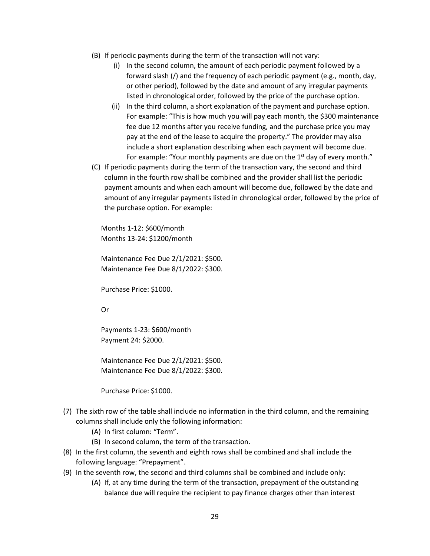- (B) If periodic payments during the term of the transaction will not vary:
	- (i) In the second column, the amount of each periodic payment followed by a forward slash (/) and the frequency of each periodic payment (e.g., month, day, or other period), followed by the date and amount of any irregular payments listed in chronological order, followed by the price of the purchase option.
	- (ii) In the third column, a short explanation of the payment and purchase option. For example: "This is how much you will pay each month, the \$300 maintenance fee due 12 months after you receive funding, and the purchase price you may pay at the end of the lease to acquire the property." The provider may also include a short explanation describing when each payment will become due. For example: "Your monthly payments are due on the  $1<sup>st</sup>$  day of every month."
- (C) If periodic payments during the term of the transaction vary, the second and third column in the fourth row shall be combined and the provider shall list the periodic payment amounts and when each amount will become due, followed by the date and amount of any irregular payments listed in chronological order, followed by the price of the purchase option. For example:

Months 1-12: \$600/month Months 13-24: \$1200/month

Maintenance Fee Due 2/1/2021: \$500. Maintenance Fee Due 8/1/2022: \$300.

Purchase Price: \$1000.

Or

Payments 1-23: \$600/month Payment 24: \$2000.

Maintenance Fee Due 2/1/2021: \$500. Maintenance Fee Due 8/1/2022: \$300.

Purchase Price: \$1000.

- (7) The sixth row of the table shall include no information in the third column, and the remaining columns shall include only the following information:
	- (A) In first column: "Term".
	- (B) In second column, the term of the transaction.
- (8) In the first column, the seventh and eighth rows shall be combined and shall include the following language: "Prepayment".
- (9) In the seventh row, the second and third columns shall be combined and include only:
	- (A) If, at any time during the term of the transaction, prepayment of the outstanding balance due will require the recipient to pay finance charges other than interest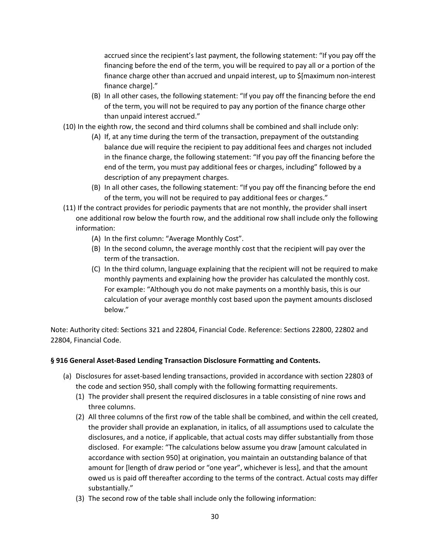accrued since the recipient's last payment, the following statement: "If you pay off the financing before the end of the term, you will be required to pay all or a portion of the finance charge other than accrued and unpaid interest, up to \$[maximum non-interest finance charge]."

- (B) In all other cases, the following statement: "If you pay off the financing before the end of the term, you will not be required to pay any portion of the finance charge other than unpaid interest accrued."
- (10) In the eighth row, the second and third columns shall be combined and shall include only:
	- (A) If, at any time during the term of the transaction, prepayment of the outstanding balance due will require the recipient to pay additional fees and charges not included in the finance charge, the following statement: "If you pay off the financing before the end of the term, you must pay additional fees or charges, including" followed by a description of any prepayment charges.
	- (B) In all other cases, the following statement: "If you pay off the financing before the end of the term, you will not be required to pay additional fees or charges."
- (11) If the contract provides for periodic payments that are not monthly, the provider shall insert one additional row below the fourth row, and the additional row shall include only the following information:
	- (A) In the first column: "Average Monthly Cost".
	- (B) In the second column, the average monthly cost that the recipient will pay over the term of the transaction.
	- (C) In the third column, language explaining that the recipient will not be required to make monthly payments and explaining how the provider has calculated the monthly cost. For example: "Although you do not make payments on a monthly basis, this is our calculation of your average monthly cost based upon the payment amounts disclosed below."

Note: Authority cited: Sections 321 and 22804, Financial Code. Reference: Sections 22800, 22802 and 22804, Financial Code.

### **§ 916 General Asset-Based Lending Transaction Disclosure Formatting and Contents.**

- (a) Disclosures for asset-based lending transactions, provided in accordance with section 22803 of the code and section 950, shall comply with the following formatting requirements.
	- (1) The provider shall present the required disclosures in a table consisting of nine rows and three columns.
	- (2) All three columns of the first row of the table shall be combined, and within the cell created, the provider shall provide an explanation, in italics, of all assumptions used to calculate the disclosures, and a notice, if applicable, that actual costs may differ substantially from those disclosed. For example: "The calculations below assume you draw [amount calculated in accordance with section 950] at origination, you maintain an outstanding balance of that amount for [length of draw period or "one year", whichever is less], and that the amount owed us is paid off thereafter according to the terms of the contract. Actual costs may differ substantially."
	- (3) The second row of the table shall include only the following information: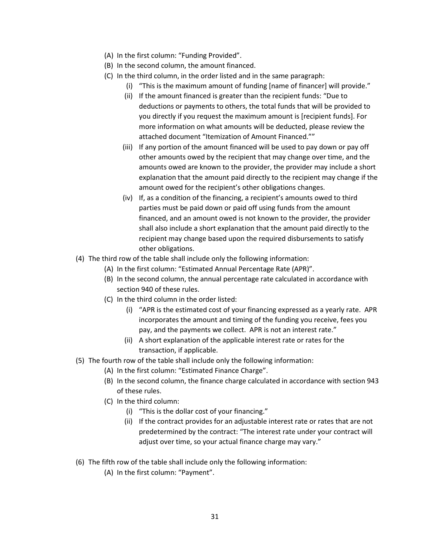- (A) In the first column: "Funding Provided".
- (B) In the second column, the amount financed.
- (C) In the third column, in the order listed and in the same paragraph:
	- (i) "This is the maximum amount of funding [name of financer] will provide."
		- (ii) If the amount financed is greater than the recipient funds: "Due to deductions or payments to others, the total funds that will be provided to you directly if you request the maximum amount is [recipient funds]. For more information on what amounts will be deducted, please review the attached document "Itemization of Amount Financed.""
	- (iii) If any portion of the amount financed will be used to pay down or pay off other amounts owed by the recipient that may change over time, and the amounts owed are known to the provider, the provider may include a short explanation that the amount paid directly to the recipient may change if the amount owed for the recipient's other obligations changes.
	- (iv) If, as a condition of the financing, a recipient's amounts owed to third parties must be paid down or paid off using funds from the amount financed, and an amount owed is not known to the provider, the provider shall also include a short explanation that the amount paid directly to the recipient may change based upon the required disbursements to satisfy other obligations.
- (4) The third row of the table shall include only the following information:
	- (A) In the first column: "Estimated Annual Percentage Rate (APR)".
	- (B) In the second column, the annual percentage rate calculated in accordance with section 940 of these rules.
	- (C) In the third column in the order listed:
		- (i) "APR is the estimated cost of your financing expressed as a yearly rate. APR incorporates the amount and timing of the funding you receive, fees you pay, and the payments we collect. APR is not an interest rate."
		- (ii) A short explanation of the applicable interest rate or rates for the transaction, if applicable.
- (5) The fourth row of the table shall include only the following information:
	- (A) In the first column: "Estimated Finance Charge".
	- (B) In the second column, the finance charge calculated in accordance with section 943 of these rules.
	- (C) In the third column:
		- (i) "This is the dollar cost of your financing."
		- (ii) If the contract provides for an adjustable interest rate or rates that are not predetermined by the contract: "The interest rate under your contract will adjust over time, so your actual finance charge may vary."
- (6) The fifth row of the table shall include only the following information:
	- (A) In the first column: "Payment".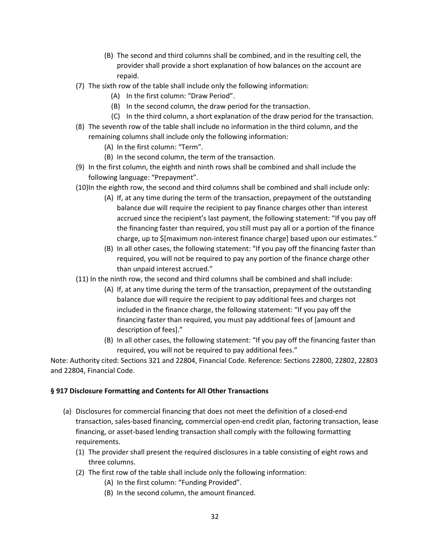- (B) The second and third columns shall be combined, and in the resulting cell, the provider shall provide a short explanation of how balances on the account are repaid.
- (7) The sixth row of the table shall include only the following information:
	- (A) In the first column: "Draw Period".
	- (B) In the second column, the draw period for the transaction.
	- (C) In the third column, a short explanation of the draw period for the transaction.
- (8) The seventh row of the table shall include no information in the third column, and the remaining columns shall include only the following information:
	- (A) In the first column: "Term".
	- (B) In the second column, the term of the transaction.
- (9) In the first column, the eighth and ninth rows shall be combined and shall include the following language: "Prepayment".
- (10)In the eighth row, the second and third columns shall be combined and shall include only:
	- (A) If, at any time during the term of the transaction, prepayment of the outstanding balance due will require the recipient to pay finance charges other than interest accrued since the recipient's last payment, the following statement: "If you pay off the financing faster than required, you still must pay all or a portion of the finance charge, up to \$[maximum non-interest finance charge] based upon our estimates."
	- (B) In all other cases, the following statement: "If you pay off the financing faster than required, you will not be required to pay any portion of the finance charge other than unpaid interest accrued."
- (11) In the ninth row, the second and third columns shall be combined and shall include:
	- (A) If, at any time during the term of the transaction, prepayment of the outstanding balance due will require the recipient to pay additional fees and charges not included in the finance charge, the following statement: "If you pay off the financing faster than required, you must pay additional fees of [amount and description of fees]."
	- (B) In all other cases, the following statement: "If you pay off the financing faster than required, you will not be required to pay additional fees."

### **§ 917 Disclosure Formatting and Contents for All Other Transactions**

- (a) Disclosures for commercial financing that does not meet the definition of a closed-end transaction, sales-based financing, commercial open-end credit plan, factoring transaction, lease financing, or asset-based lending transaction shall comply with the following formatting requirements.
	- (1) The provider shall present the required disclosures in a table consisting of eight rows and three columns.
	- (2) The first row of the table shall include only the following information:
		- (A) In the first column: "Funding Provided".
		- (B) In the second column, the amount financed.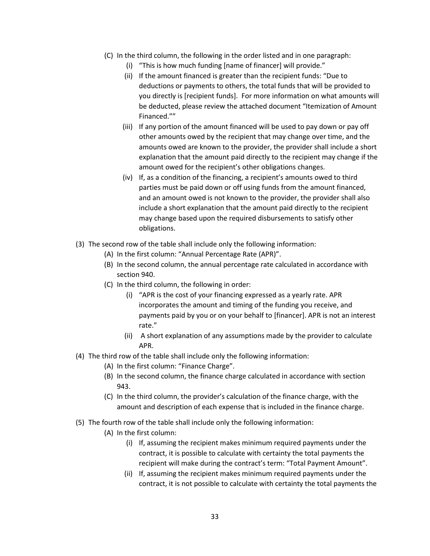- (C) In the third column, the following in the order listed and in one paragraph:
	- (i) "This is how much funding [name of financer] will provide."
	- (ii) If the amount financed is greater than the recipient funds: "Due to deductions or payments to others, the total funds that will be provided to you directly is [recipient funds]. For more information on what amounts will be deducted, please review the attached document "Itemization of Amount Financed.""
	- (iii) If any portion of the amount financed will be used to pay down or pay off other amounts owed by the recipient that may change over time, and the amounts owed are known to the provider, the provider shall include a short explanation that the amount paid directly to the recipient may change if the amount owed for the recipient's other obligations changes.
	- (iv) If, as a condition of the financing, a recipient's amounts owed to third parties must be paid down or off using funds from the amount financed, and an amount owed is not known to the provider, the provider shall also include a short explanation that the amount paid directly to the recipient may change based upon the required disbursements to satisfy other obligations.
- (3) The second row of the table shall include only the following information:
	- (A) In the first column: "Annual Percentage Rate (APR)".
	- (B) In the second column, the annual percentage rate calculated in accordance with section 940.
	- (C) In the third column, the following in order:
		- (i) "APR is the cost of your financing expressed as a yearly rate. APR incorporates the amount and timing of the funding you receive, and payments paid by you or on your behalf to [financer]. APR is not an interest rate."
		- (ii) A short explanation of any assumptions made by the provider to calculate APR.
- (4) The third row of the table shall include only the following information:
	- (A) In the first column: "Finance Charge".
	- (B) In the second column, the finance charge calculated in accordance with section 943.
	- (C) In the third column, the provider's calculation of the finance charge, with the amount and description of each expense that is included in the finance charge.
- (5) The fourth row of the table shall include only the following information:
	- (A) In the first column:
		- (i) If, assuming the recipient makes minimum required payments under the contract, it is possible to calculate with certainty the total payments the recipient will make during the contract's term: "Total Payment Amount".
		- (ii) If, assuming the recipient makes minimum required payments under the contract, it is not possible to calculate with certainty the total payments the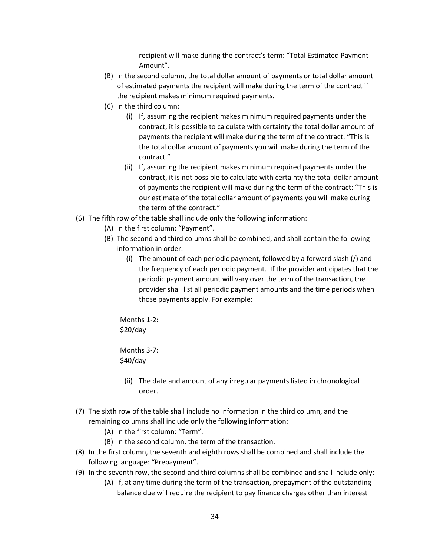recipient will make during the contract's term: "Total Estimated Payment Amount".

- (B) In the second column, the total dollar amount of payments or total dollar amount of estimated payments the recipient will make during the term of the contract if the recipient makes minimum required payments.
- (C) In the third column:
	- (i) If, assuming the recipient makes minimum required payments under the contract, it is possible to calculate with certainty the total dollar amount of payments the recipient will make during the term of the contract: "This is the total dollar amount of payments you will make during the term of the contract."
	- (ii) If, assuming the recipient makes minimum required payments under the contract, it is not possible to calculate with certainty the total dollar amount of payments the recipient will make during the term of the contract: "This is our estimate of the total dollar amount of payments you will make during the term of the contract."
- (6) The fifth row of the table shall include only the following information:
	- (A) In the first column: "Payment".
	- (B) The second and third columns shall be combined, and shall contain the following information in order:
		- (i) The amount of each periodic payment, followed by a forward slash (/) and the frequency of each periodic payment. If the provider anticipates that the periodic payment amount will vary over the term of the transaction, the provider shall list all periodic payment amounts and the time periods when those payments apply. For example:

Months 1-2: \$20/day

Months 3-7: \$40/day

- (ii) The date and amount of any irregular payments listed in chronological order.
- (7) The sixth row of the table shall include no information in the third column, and the remaining columns shall include only the following information:
	- (A) In the first column: "Term".
	- (B) In the second column, the term of the transaction.
- (8) In the first column, the seventh and eighth rows shall be combined and shall include the following language: "Prepayment".
- (9) In the seventh row, the second and third columns shall be combined and shall include only: (A) If, at any time during the term of the transaction, prepayment of the outstanding balance due will require the recipient to pay finance charges other than interest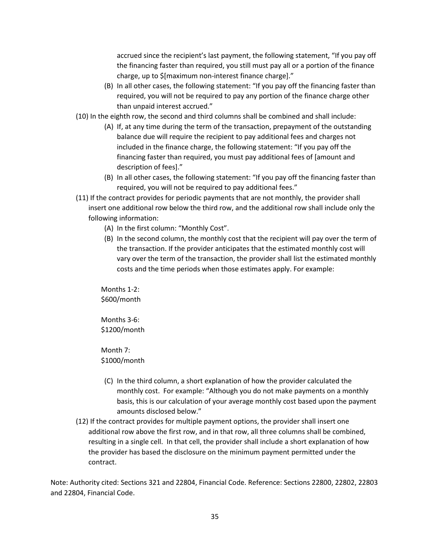accrued since the recipient's last payment, the following statement, "If you pay off the financing faster than required, you still must pay all or a portion of the finance charge, up to \$[maximum non-interest finance charge]."

- (B) In all other cases, the following statement: "If you pay off the financing faster than required, you will not be required to pay any portion of the finance charge other than unpaid interest accrued."
- (10) In the eighth row, the second and third columns shall be combined and shall include:
	- (A) If, at any time during the term of the transaction, prepayment of the outstanding balance due will require the recipient to pay additional fees and charges not included in the finance charge, the following statement: "If you pay off the financing faster than required, you must pay additional fees of [amount and description of fees]."
	- (B) In all other cases, the following statement: "If you pay off the financing faster than required, you will not be required to pay additional fees."
- (11) If the contract provides for periodic payments that are not monthly, the provider shall insert one additional row below the third row, and the additional row shall include only the following information:
	- (A) In the first column: "Monthly Cost".
	- (B) In the second column, the monthly cost that the recipient will pay over the term of the transaction. If the provider anticipates that the estimated monthly cost will vary over the term of the transaction, the provider shall list the estimated monthly costs and the time periods when those estimates apply. For example:

Months 1-2: \$600/month

Months 3-6: \$1200/month

Month 7: \$1000/month

- (C) In the third column, a short explanation of how the provider calculated the monthly cost. For example: "Although you do not make payments on a monthly basis, this is our calculation of your average monthly cost based upon the payment amounts disclosed below."
- (12) If the contract provides for multiple payment options, the provider shall insert one additional row above the first row, and in that row, all three columns shall be combined, resulting in a single cell. In that cell, the provider shall include a short explanation of how the provider has based the disclosure on the minimum payment permitted under the contract.

Note: Authority cited: Sections 321 and 22804, Financial Code. Reference: Sections 22800, 22802, 22803 and 22804, Financial Code.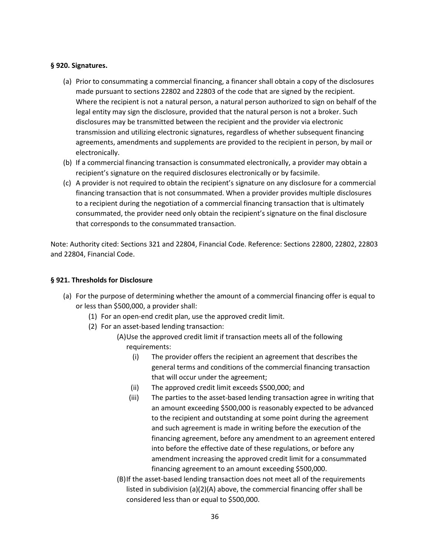#### **§ 920. Signatures.**

- (a) Prior to consummating a commercial financing, a financer shall obtain a copy of the disclosures made pursuant to sections 22802 and 22803 of the code that are signed by the recipient. Where the recipient is not a natural person, a natural person authorized to sign on behalf of the legal entity may sign the disclosure, provided that the natural person is not a broker. Such disclosures may be transmitted between the recipient and the provider via electronic transmission and utilizing electronic signatures, regardless of whether subsequent financing agreements, amendments and supplements are provided to the recipient in person, by mail or electronically.
- (b) If a commercial financing transaction is consummated electronically, a provider may obtain a recipient's signature on the required disclosures electronically or by facsimile.
- (c) A provider is not required to obtain the recipient's signature on any disclosure for a commercial financing transaction that is not consummated. When a provider provides multiple disclosures to a recipient during the negotiation of a commercial financing transaction that is ultimately consummated, the provider need only obtain the recipient's signature on the final disclosure that corresponds to the consummated transaction.

Note: Authority cited: Sections 321 and 22804, Financial Code. Reference: Sections 22800, 22802, 22803 and 22804, Financial Code.

#### **§ 921. Thresholds for Disclosure**

- (a) For the purpose of determining whether the amount of a commercial financing offer is equal to or less than \$500,000, a provider shall:
	- (1) For an open-end credit plan, use the approved credit limit.
	- (2) For an asset-based lending transaction:
		- (A)Use the approved credit limit if transaction meets all of the following requirements:
			- (i) The provider offers the recipient an agreement that describes the general terms and conditions of the commercial financing transaction that will occur under the agreement;
			- (ii) The approved credit limit exceeds \$500,000; and
			- (iii) The parties to the asset-based lending transaction agree in writing that an amount exceeding \$500,000 is reasonably expected to be advanced to the recipient and outstanding at some point during the agreement and such agreement is made in writing before the execution of the financing agreement, before any amendment to an agreement entered into before the effective date of these regulations, or before any amendment increasing the approved credit limit for a consummated financing agreement to an amount exceeding \$500,000.
		- (B)If the asset-based lending transaction does not meet all of the requirements listed in subdivision (a)(2)(A) above, the commercial financing offer shall be considered less than or equal to \$500,000.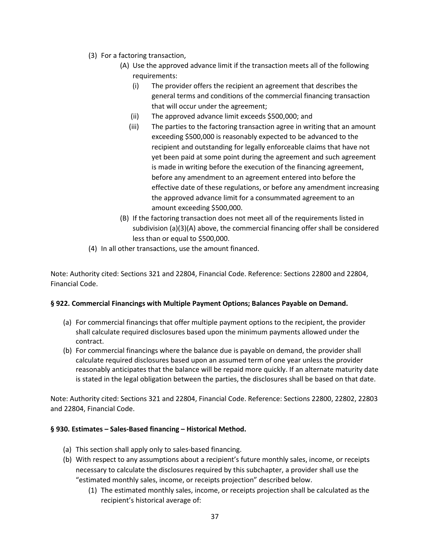- (3) For a factoring transaction,
	- (A) Use the approved advance limit if the transaction meets all of the following requirements:
		- (i) The provider offers the recipient an agreement that describes the general terms and conditions of the commercial financing transaction that will occur under the agreement;
		- (ii) The approved advance limit exceeds \$500,000; and
		- (iii) The parties to the factoring transaction agree in writing that an amount exceeding \$500,000 is reasonably expected to be advanced to the recipient and outstanding for legally enforceable claims that have not yet been paid at some point during the agreement and such agreement is made in writing before the execution of the financing agreement, before any amendment to an agreement entered into before the effective date of these regulations, or before any amendment increasing the approved advance limit for a consummated agreement to an amount exceeding \$500,000.
	- (B) If the factoring transaction does not meet all of the requirements listed in subdivision (a)(3)(A) above, the commercial financing offer shall be considered less than or equal to \$500,000.
- (4) In all other transactions, use the amount financed.

### **§ 922. Commercial Financings with Multiple Payment Options; Balances Payable on Demand.**

- (a) For commercial financings that offer multiple payment options to the recipient, the provider shall calculate required disclosures based upon the minimum payments allowed under the contract.
- (b) For commercial financings where the balance due is payable on demand, the provider shall calculate required disclosures based upon an assumed term of one year unless the provider reasonably anticipates that the balance will be repaid more quickly. If an alternate maturity date is stated in the legal obligation between the parties, the disclosures shall be based on that date.

Note: Authority cited: Sections 321 and 22804, Financial Code. Reference: Sections 22800, 22802, 22803 and 22804, Financial Code.

### **§ 930. Estimates – Sales-Based financing – Historical Method.**

- (a) This section shall apply only to sales-based financing.
- (b) With respect to any assumptions about a recipient's future monthly sales, income, or receipts necessary to calculate the disclosures required by this subchapter, a provider shall use the "estimated monthly sales, income, or receipts projection" described below.
	- (1) The estimated monthly sales, income, or receipts projection shall be calculated as the recipient's historical average of: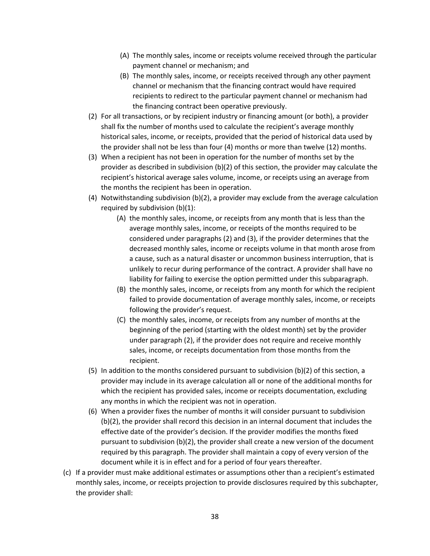- (A) The monthly sales, income or receipts volume received through the particular payment channel or mechanism; and
- (B) The monthly sales, income, or receipts received through any other payment channel or mechanism that the financing contract would have required recipients to redirect to the particular payment channel or mechanism had the financing contract been operative previously.
- (2) For all transactions, or by recipient industry or financing amount (or both), a provider shall fix the number of months used to calculate the recipient's average monthly historical sales, income, or receipts, provided that the period of historical data used by the provider shall not be less than four (4) months or more than twelve (12) months.
- (3) When a recipient has not been in operation for the number of months set by the provider as described in subdivision (b)(2) of this section, the provider may calculate the recipient's historical average sales volume, income, or receipts using an average from the months the recipient has been in operation.
- (4) Notwithstanding subdivision (b)(2), a provider may exclude from the average calculation required by subdivision (b)(1):
	- (A) the monthly sales, income, or receipts from any month that is less than the average monthly sales, income, or receipts of the months required to be considered under paragraphs (2) and (3), if the provider determines that the decreased monthly sales, income or receipts volume in that month arose from a cause, such as a natural disaster or uncommon business interruption, that is unlikely to recur during performance of the contract. A provider shall have no liability for failing to exercise the option permitted under this subparagraph.
	- (B) the monthly sales, income, or receipts from any month for which the recipient failed to provide documentation of average monthly sales, income, or receipts following the provider's request.
	- (C) the monthly sales, income, or receipts from any number of months at the beginning of the period (starting with the oldest month) set by the provider under paragraph (2), if the provider does not require and receive monthly sales, income, or receipts documentation from those months from the recipient.
- (5) In addition to the months considered pursuant to subdivision (b)(2) of this section, a provider may include in its average calculation all or none of the additional months for which the recipient has provided sales, income or receipts documentation, excluding any months in which the recipient was not in operation.
- (6) When a provider fixes the number of months it will consider pursuant to subdivision (b)(2), the provider shall record this decision in an internal document that includes the effective date of the provider's decision. If the provider modifies the months fixed pursuant to subdivision (b)(2), the provider shall create a new version of the document required by this paragraph. The provider shall maintain a copy of every version of the document while it is in effect and for a period of four years thereafter.
- (c) If a provider must make additional estimates or assumptions other than a recipient's estimated monthly sales, income, or receipts projection to provide disclosures required by this subchapter, the provider shall: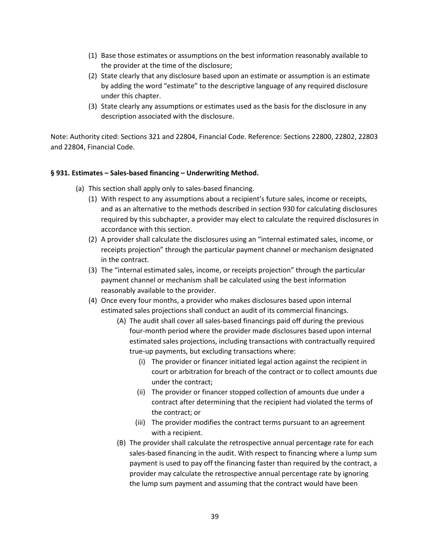- (1) Base those estimates or assumptions on the best information reasonably available to the provider at the time of the disclosure;
- (2) State clearly that any disclosure based upon an estimate or assumption is an estimate by adding the word "estimate" to the descriptive language of any required disclosure under this chapter.
- (3) State clearly any assumptions or estimates used as the basis for the disclosure in any description associated with the disclosure.

### **§ 931. Estimates – Sales-based financing – Underwriting Method.**

- (a) This section shall apply only to sales-based financing.
	- (1) With respect to any assumptions about a recipient's future sales, income or receipts, and as an alternative to the methods described in section 930 for calculating disclosures required by this subchapter, a provider may elect to calculate the required disclosures in accordance with this section.
	- (2) A provider shall calculate the disclosures using an "internal estimated sales, income, or receipts projection" through the particular payment channel or mechanism designated in the contract.
	- (3) The "internal estimated sales, income, or receipts projection" through the particular payment channel or mechanism shall be calculated using the best information reasonably available to the provider.
	- (4) Once every four months, a provider who makes disclosures based upon internal estimated sales projections shall conduct an audit of its commercial financings.
		- (A) The audit shall cover all sales-based financings paid off during the previous four-month period where the provider made disclosures based upon internal estimated sales projections, including transactions with contractually required true-up payments, but excluding transactions where:
			- (i) The provider or financer initiated legal action against the recipient in court or arbitration for breach of the contract or to collect amounts due under the contract;
			- (ii) The provider or financer stopped collection of amounts due under a contract after determining that the recipient had violated the terms of the contract; or
			- (iii) The provider modifies the contract terms pursuant to an agreement with a recipient.
		- (B) The provider shall calculate the retrospective annual percentage rate for each sales-based financing in the audit. With respect to financing where a lump sum payment is used to pay off the financing faster than required by the contract, a provider may calculate the retrospective annual percentage rate by ignoring the lump sum payment and assuming that the contract would have been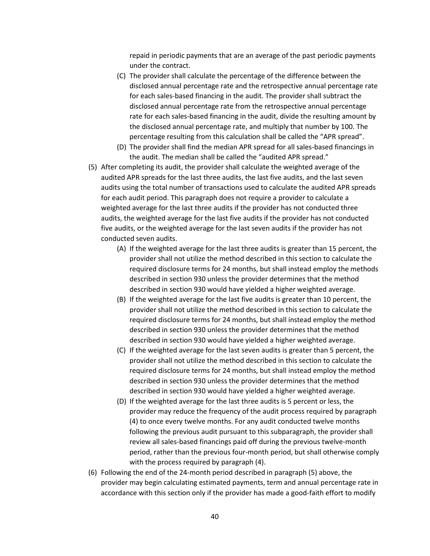repaid in periodic payments that are an average of the past periodic payments under the contract.

- (C) The provider shall calculate the percentage of the difference between the disclosed annual percentage rate and the retrospective annual percentage rate for each sales-based financing in the audit. The provider shall subtract the disclosed annual percentage rate from the retrospective annual percentage rate for each sales-based financing in the audit, divide the resulting amount by the disclosed annual percentage rate, and multiply that number by 100. The percentage resulting from this calculation shall be called the "APR spread".
- (D) The provider shall find the median APR spread for all sales-based financings in the audit. The median shall be called the "audited APR spread."
- (5) After completing its audit, the provider shall calculate the weighted average of the audited APR spreads for the last three audits, the last five audits, and the last seven audits using the total number of transactions used to calculate the audited APR spreads for each audit period. This paragraph does not require a provider to calculate a weighted average for the last three audits if the provider has not conducted three audits, the weighted average for the last five audits if the provider has not conducted five audits, or the weighted average for the last seven audits if the provider has not conducted seven audits.
	- (A) If the weighted average for the last three audits is greater than 15 percent, the provider shall not utilize the method described in this section to calculate the required disclosure terms for 24 months, but shall instead employ the methods described in section 930 unless the provider determines that the method described in section 930 would have yielded a higher weighted average.
	- (B) If the weighted average for the last five audits is greater than 10 percent, the provider shall not utilize the method described in this section to calculate the required disclosure terms for 24 months, but shall instead employ the method described in section 930 unless the provider determines that the method described in section 930 would have yielded a higher weighted average.
	- (C) If the weighted average for the last seven audits is greater than 5 percent, the provider shall not utilize the method described in this section to calculate the required disclosure terms for 24 months, but shall instead employ the method described in section 930 unless the provider determines that the method described in section 930 would have yielded a higher weighted average.
	- (D) If the weighted average for the last three audits is 5 percent or less, the provider may reduce the frequency of the audit process required by paragraph (4) to once every twelve months. For any audit conducted twelve months following the previous audit pursuant to this subparagraph, the provider shall review all sales-based financings paid off during the previous twelve-month period, rather than the previous four-month period, but shall otherwise comply with the process required by paragraph (4).
- (6) Following the end of the 24-month period described in paragraph (5) above, the provider may begin calculating estimated payments, term and annual percentage rate in accordance with this section only if the provider has made a good-faith effort to modify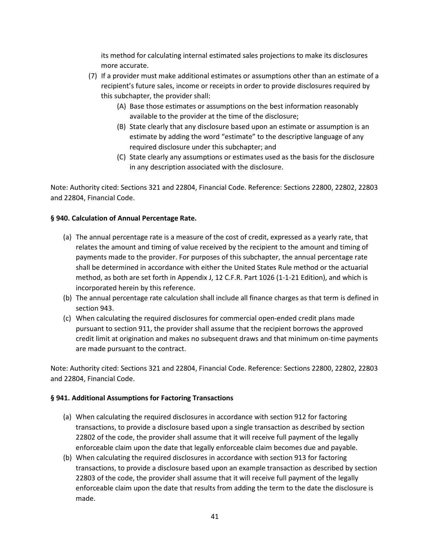its method for calculating internal estimated sales projections to make its disclosures more accurate.

- (7) If a provider must make additional estimates or assumptions other than an estimate of a recipient's future sales, income or receipts in order to provide disclosures required by this subchapter, the provider shall:
	- (A) Base those estimates or assumptions on the best information reasonably available to the provider at the time of the disclosure;
	- (B) State clearly that any disclosure based upon an estimate or assumption is an estimate by adding the word "estimate" to the descriptive language of any required disclosure under this subchapter; and
	- (C) State clearly any assumptions or estimates used as the basis for the disclosure in any description associated with the disclosure.

Note: Authority cited: Sections 321 and 22804, Financial Code. Reference: Sections 22800, 22802, 22803 and 22804, Financial Code.

# **§ 940. Calculation of Annual Percentage Rate.**

- (a) The annual percentage rate is a measure of the cost of credit, expressed as a yearly rate, that relates the amount and timing of value received by the recipient to the amount and timing of payments made to the provider. For purposes of this subchapter, the annual percentage rate shall be determined in accordance with either the United States Rule method or the actuarial method, as both are set forth in Appendix J, 12 C.F.R. Part 1026 (1-1-21 Edition), and which is incorporated herein by this reference.
- (b) The annual percentage rate calculation shall include all finance charges as that term is defined in section 943.
- (c) When calculating the required disclosures for commercial open-ended credit plans made pursuant to section 911, the provider shall assume that the recipient borrows the approved credit limit at origination and makes no subsequent draws and that minimum on-time payments are made pursuant to the contract.

Note: Authority cited: Sections 321 and 22804, Financial Code. Reference: Sections 22800, 22802, 22803 and 22804, Financial Code.

### **§ 941. Additional Assumptions for Factoring Transactions**

- (a) When calculating the required disclosures in accordance with section 912 for factoring transactions, to provide a disclosure based upon a single transaction as described by section 22802 of the code, the provider shall assume that it will receive full payment of the legally enforceable claim upon the date that legally enforceable claim becomes due and payable.
- (b) When calculating the required disclosures in accordance with section 913 for factoring transactions, to provide a disclosure based upon an example transaction as described by section 22803 of the code, the provider shall assume that it will receive full payment of the legally enforceable claim upon the date that results from adding the term to the date the disclosure is made.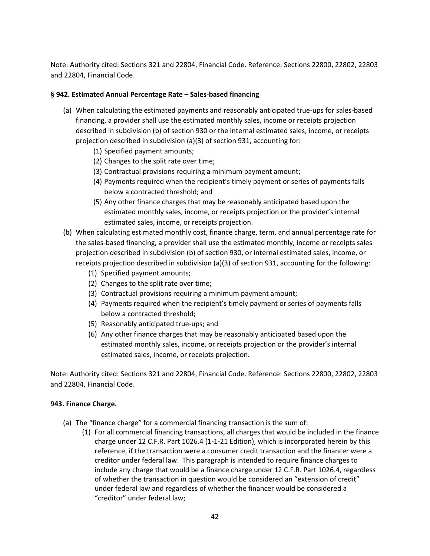### **§ 942. Estimated Annual Percentage Rate – Sales-based financing**

- (a) When calculating the estimated payments and reasonably anticipated true-ups for sales-based financing, a provider shall use the estimated monthly sales, income or receipts projection described in subdivision (b) of section 930 or the internal estimated sales, income, or receipts projection described in subdivision (a)(3) of section 931, accounting for:
	- (1) Specified payment amounts;
	- (2) Changes to the split rate over time;
	- (3) Contractual provisions requiring a minimum payment amount;
	- (4) Payments required when the recipient's timely payment or series of payments falls below a contracted threshold; and
	- (5) Any other finance charges that may be reasonably anticipated based upon the estimated monthly sales, income, or receipts projection or the provider's internal estimated sales, income, or receipts projection.
- (b) When calculating estimated monthly cost, finance charge, term, and annual percentage rate for the sales-based financing, a provider shall use the estimated monthly, income or receipts sales projection described in subdivision (b) of section 930, or internal estimated sales, income, or receipts projection described in subdivision (a)(3) of section 931, accounting for the following:
	- (1) Specified payment amounts;
	- (2) Changes to the split rate over time;
	- (3) Contractual provisions requiring a minimum payment amount;
	- (4) Payments required when the recipient's timely payment or series of payments falls below a contracted threshold;
	- (5) Reasonably anticipated true-ups; and
	- (6) Any other finance charges that may be reasonably anticipated based upon the estimated monthly sales, income, or receipts projection or the provider's internal estimated sales, income, or receipts projection.

Note: Authority cited: Sections 321 and 22804, Financial Code. Reference: Sections 22800, 22802, 22803 and 22804, Financial Code.

### **943. Finance Charge.**

- (a) The "finance charge" for a commercial financing transaction is the sum of:
	- (1) For all commercial financing transactions, all charges that would be included in the finance charge under 12 C.F.R. Part 1026.4 (1-1-21 Edition), which is incorporated herein by this reference, if the transaction were a consumer credit transaction and the financer were a creditor under federal law. This paragraph is intended to require finance charges to include any charge that would be a finance charge under 12 C.F.R. Part 1026.4, regardless of whether the transaction in question would be considered an "extension of credit" under federal law and regardless of whether the financer would be considered a "creditor" under federal law;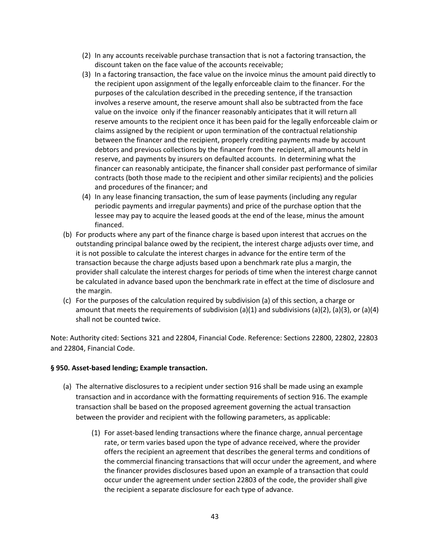- (2) In any accounts receivable purchase transaction that is not a factoring transaction, the discount taken on the face value of the accounts receivable;
- (3) In a factoring transaction, the face value on the invoice minus the amount paid directly to the recipient upon assignment of the legally enforceable claim to the financer. For the purposes of the calculation described in the preceding sentence, if the transaction involves a reserve amount, the reserve amount shall also be subtracted from the face value on the invoice only if the financer reasonably anticipates that it will return all reserve amounts to the recipient once it has been paid for the legally enforceable claim or claims assigned by the recipient or upon termination of the contractual relationship between the financer and the recipient, properly crediting payments made by account debtors and previous collections by the financer from the recipient, all amounts held in reserve, and payments by insurers on defaulted accounts. In determining what the financer can reasonably anticipate, the financer shall consider past performance of similar contracts (both those made to the recipient and other similar recipients) and the policies and procedures of the financer; and
- (4) In any lease financing transaction, the sum of lease payments (including any regular periodic payments and irregular payments) and price of the purchase option that the lessee may pay to acquire the leased goods at the end of the lease, minus the amount financed.
- (b) For products where any part of the finance charge is based upon interest that accrues on the outstanding principal balance owed by the recipient, the interest charge adjusts over time, and it is not possible to calculate the interest charges in advance for the entire term of the transaction because the charge adjusts based upon a benchmark rate plus a margin, the provider shall calculate the interest charges for periods of time when the interest charge cannot be calculated in advance based upon the benchmark rate in effect at the time of disclosure and the margin.
- (c) For the purposes of the calculation required by subdivision (a) of this section, a charge or amount that meets the requirements of subdivision (a)(1) and subdivisions (a)(2), (a)(3), or (a)(4) shall not be counted twice.

### **§ 950. Asset-based lending; Example transaction.**

- (a) The alternative disclosures to a recipient under section 916 shall be made using an example transaction and in accordance with the formatting requirements of section 916. The example transaction shall be based on the proposed agreement governing the actual transaction between the provider and recipient with the following parameters, as applicable:
	- (1) For asset-based lending transactions where the finance charge, annual percentage rate, or term varies based upon the type of advance received, where the provider offers the recipient an agreement that describes the general terms and conditions of the commercial financing transactions that will occur under the agreement, and where the financer provides disclosures based upon an example of a transaction that could occur under the agreement under section 22803 of the code, the provider shall give the recipient a separate disclosure for each type of advance.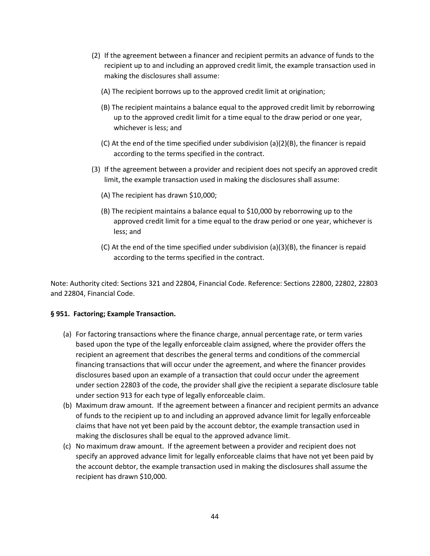- (2) If the agreement between a financer and recipient permits an advance of funds to the recipient up to and including an approved credit limit, the example transaction used in making the disclosures shall assume:
	- (A) The recipient borrows up to the approved credit limit at origination;
	- (B) The recipient maintains a balance equal to the approved credit limit by reborrowing up to the approved credit limit for a time equal to the draw period or one year, whichever is less; and
	- (C) At the end of the time specified under subdivision (a)(2)(B), the financer is repaid according to the terms specified in the contract.
- (3) If the agreement between a provider and recipient does not specify an approved credit limit, the example transaction used in making the disclosures shall assume:
	- (A) The recipient has drawn \$10,000;
	- (B) The recipient maintains a balance equal to \$10,000 by reborrowing up to the approved credit limit for a time equal to the draw period or one year, whichever is less; and
	- (C) At the end of the time specified under subdivision (a)(3)(B), the financer is repaid according to the terms specified in the contract.

#### **§ 951. Factoring; Example Transaction.**

- (a) For factoring transactions where the finance charge, annual percentage rate, or term varies based upon the type of the legally enforceable claim assigned, where the provider offers the recipient an agreement that describes the general terms and conditions of the commercial financing transactions that will occur under the agreement, and where the financer provides disclosures based upon an example of a transaction that could occur under the agreement under section 22803 of the code, the provider shall give the recipient a separate disclosure table under section 913 for each type of legally enforceable claim.
- (b) Maximum draw amount. If the agreement between a financer and recipient permits an advance of funds to the recipient up to and including an approved advance limit for legally enforceable claims that have not yet been paid by the account debtor, the example transaction used in making the disclosures shall be equal to the approved advance limit.
- (c) No maximum draw amount. If the agreement between a provider and recipient does not specify an approved advance limit for legally enforceable claims that have not yet been paid by the account debtor, the example transaction used in making the disclosures shall assume the recipient has drawn \$10,000.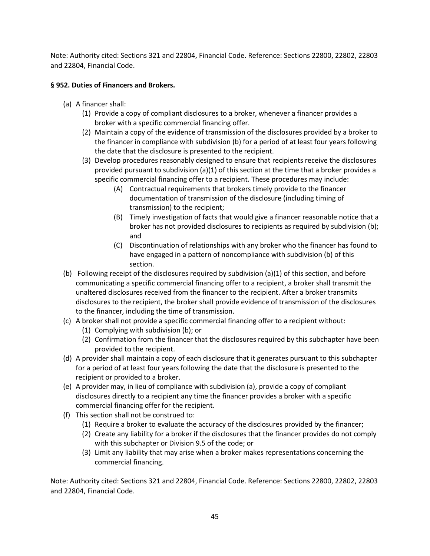# **§ 952. Duties of Financers and Brokers.**

- (a) A financer shall:
	- (1) Provide a copy of compliant disclosures to a broker, whenever a financer provides a broker with a specific commercial financing offer.
	- (2) Maintain a copy of the evidence of transmission of the disclosures provided by a broker to the financer in compliance with subdivision (b) for a period of at least four years following the date that the disclosure is presented to the recipient.
	- (3) Develop procedures reasonably designed to ensure that recipients receive the disclosures provided pursuant to subdivision  $(a)(1)$  of this section at the time that a broker provides a specific commercial financing offer to a recipient. These procedures may include:
		- (A) Contractual requirements that brokers timely provide to the financer documentation of transmission of the disclosure (including timing of transmission) to the recipient;
		- (B) Timely investigation of facts that would give a financer reasonable notice that a broker has not provided disclosures to recipients as required by subdivision (b); and
		- (C) Discontinuation of relationships with any broker who the financer has found to have engaged in a pattern of noncompliance with subdivision (b) of this section.
- (b) Following receipt of the disclosures required by subdivision (a)(1) of this section, and before communicating a specific commercial financing offer to a recipient, a broker shall transmit the unaltered disclosures received from the financer to the recipient. After a broker transmits disclosures to the recipient, the broker shall provide evidence of transmission of the disclosures to the financer, including the time of transmission.
- (c) A broker shall not provide a specific commercial financing offer to a recipient without:
	- (1) Complying with subdivision (b); or
	- (2) Confirmation from the financer that the disclosures required by this subchapter have been provided to the recipient.
- (d) A provider shall maintain a copy of each disclosure that it generates pursuant to this subchapter for a period of at least four years following the date that the disclosure is presented to the recipient or provided to a broker.
- (e) A provider may, in lieu of compliance with subdivision (a), provide a copy of compliant disclosures directly to a recipient any time the financer provides a broker with a specific commercial financing offer for the recipient.
- (f) This section shall not be construed to:
	- (1) Require a broker to evaluate the accuracy of the disclosures provided by the financer;
	- (2) Create any liability for a broker if the disclosures that the financer provides do not comply with this subchapter or Division 9.5 of the code; or
	- (3) Limit any liability that may arise when a broker makes representations concerning the commercial financing.

Note: Authority cited: Sections 321 and 22804, Financial Code. Reference: Sections 22800, 22802, 22803 and 22804, Financial Code.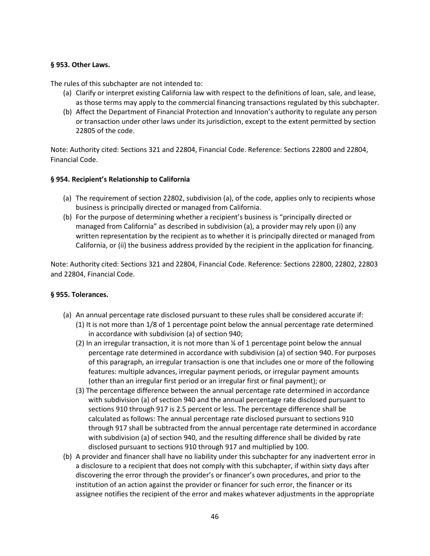### **§ 953. Other Laws.**

The rules of this subchapter are not intended to:

- (a) Clarify or interpret existing California law with respect to the definitions of loan, sale, and lease, as those terms may apply to the commercial financing transactions regulated by this subchapter.
- (b) Affect the Department of Financial Protection and Innovation's authority to regulate any person or transaction under other laws under its jurisdiction, except to the extent permitted by section 22805 of the code.

Note: Authority cited: Sections 321 and 22804, Financial Code. Reference: Sections 22800 and 22804, Financial Code.

#### **§ 954. Recipient's Relationship to California**

- (a) The requirement of section 22802, subdivision (a), of the code, applies only to recipients whose business is principally directed or managed from California.
- (b) For the purpose of determining whether a recipient's business is "principally directed or managed from California" as described in subdivision (a), a provider may rely upon (i) any written representation by the recipient as to whether it is principally directed or managed from California, or (ii) the business address provided by the recipient in the application for financing.

Note: Authority cited: Sections 321 and 22804, Financial Code. Reference: Sections 22800, 22802, 22803 and 22804, Financial Code.

### **§ 955. Tolerances.**

- (a) An annual percentage rate disclosed pursuant to these rules shall be considered accurate if: (1) It is not more than 1/8 of 1 percentage point below the annual percentage rate determined in accordance with subdivision (a) of section 940;
	- (2) In an irregular transaction, it is not more than  $\frac{1}{4}$  of 1 percentage point below the annual percentage rate determined in accordance with subdivision (a) of section 940. For purposes of this paragraph, an irregular transaction is one that includes one or more of the following features: multiple advances, irregular payment periods, or irregular payment amounts (other than an irregular first period or an irregular first or final payment); or
	- (3) The percentage difference between the annual percentage rate determined in accordance with subdivision (a) of section 940 and the annual percentage rate disclosed pursuant to sections 910 through 917 is 2.5 percent or less. The percentage difference shall be calculated as follows: The annual percentage rate disclosed pursuant to sections 910 through 917 shall be subtracted from the annual percentage rate determined in accordance with subdivision (a) of section 940, and the resulting difference shall be divided by rate disclosed pursuant to sections 910 through 917 and multiplied by 100.
- (b) A provider and financer shall have no liability under this subchapter for any inadvertent error in a disclosure to a recipient that does not comply with this subchapter, if within sixty days after discovering the error through the provider's or financer's own procedures, and prior to the institution of an action against the provider or financer for such error, the financer or its assignee notifies the recipient of the error and makes whatever adjustments in the appropriate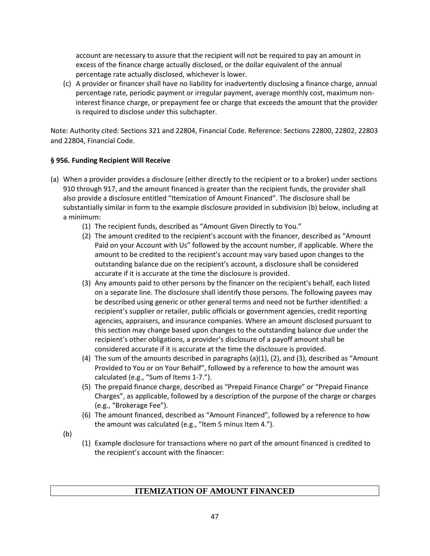account are necessary to assure that the recipient will not be required to pay an amount in excess of the finance charge actually disclosed, or the dollar equivalent of the annual percentage rate actually disclosed, whichever is lower.

(c) A provider or financer shall have no liability for inadvertently disclosing a finance charge, annual percentage rate, periodic payment or irregular payment, average monthly cost, maximum noninterest finance charge, or prepayment fee or charge that exceeds the amount that the provider is required to disclose under this subchapter.

Note: Authority cited: Sections 321 and 22804, Financial Code. Reference: Sections 22800, 22802, 22803 and 22804, Financial Code.

# **§ 956. Funding Recipient Will Receive**

- (a) When a provider provides a disclosure (either directly to the recipient or to a broker) under sections 910 through 917, and the amount financed is greater than the recipient funds, the provider shall also provide a disclosure entitled "Itemization of Amount Financed". The disclosure shall be substantially similar in form to the example disclosure provided in subdivision (b) below, including at a minimum:
	- (1) The recipient funds, described as "Amount Given Directly to You."
	- (2) The amount credited to the recipient's account with the financer, described as "Amount Paid on your Account with Us" followed by the account number, if applicable. Where the amount to be credited to the recipient's account may vary based upon changes to the outstanding balance due on the recipient's account, a disclosure shall be considered accurate if it is accurate at the time the disclosure is provided.
	- (3) Any amounts paid to other persons by the financer on the recipient's behalf, each listed on a separate line. The disclosure shall identify those persons. The following payees may be described using generic or other general terms and need not be further identified: a recipient's supplier or retailer, public officials or government agencies, credit reporting agencies, appraisers, and insurance companies. Where an amount disclosed pursuant to this section may change based upon changes to the outstanding balance due under the recipient's other obligations, a provider's disclosure of a payoff amount shall be considered accurate if it is accurate at the time the disclosure is provided.
	- (4) The sum of the amounts described in paragraphs (a)(1), (2), and (3), described as "Amount Provided to You or on Your Behalf", followed by a reference to how the amount was calculated (e.g., "Sum of Items 1-7.").
	- (5) The prepaid finance charge, described as "Prepaid Finance Charge" or "Prepaid Finance Charges", as applicable, followed by a description of the purpose of the charge or charges (e.g., "Brokerage Fee").
	- (6) The amount financed, described as "Amount Financed", followed by a reference to how the amount was calculated (e.g., "Item 5 minus Item 4.").
	- (b)
- (1) Example disclosure for transactions where no part of the amount financed is credited to the recipient's account with the financer:

# **ITEMIZATION OF AMOUNT FINANCED**